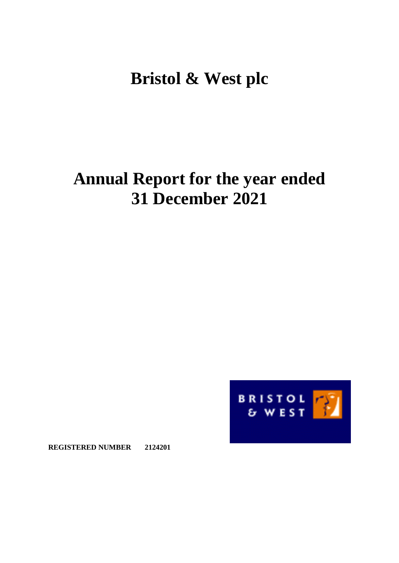# **Bristol & West plc**

# **Annual Report for the year ended 31 December 2021**



**REGISTERED NUMBER 2124201**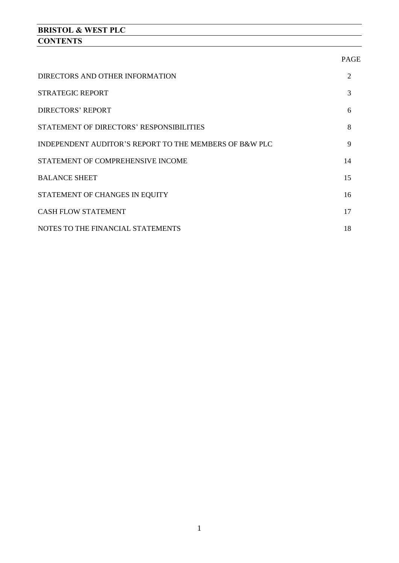# **BRISTOL & WEST PLC CONTENTS**

|                                                        | <b>PAGE</b> |
|--------------------------------------------------------|-------------|
| DIRECTORS AND OTHER INFORMATION                        | 2           |
| <b>STRATEGIC REPORT</b>                                | 3           |
| <b>DIRECTORS' REPORT</b>                               | 6           |
| STATEMENT OF DIRECTORS' RESPONSIBILITIES               | 8           |
| INDEPENDENT AUDITOR'S REPORT TO THE MEMBERS OF B&W PLC | 9           |
| STATEMENT OF COMPREHENSIVE INCOME                      | 14          |
| <b>BALANCE SHEET</b>                                   | 15          |
| STATEMENT OF CHANGES IN EQUITY                         | 16          |
| <b>CASH FLOW STATEMENT</b>                             | 17          |
| NOTES TO THE FINANCIAL STATEMENTS                      | 18          |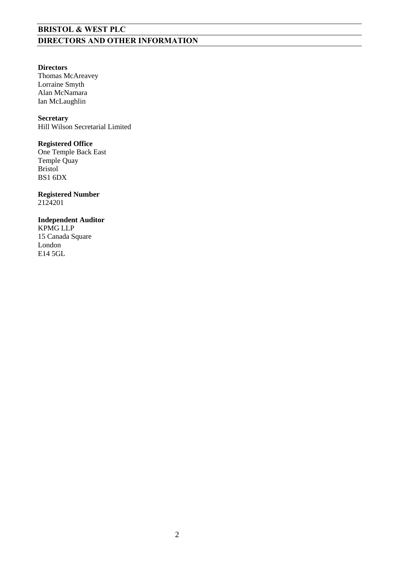# **BRISTOL & WEST PLC DIRECTORS AND OTHER INFORMATION**

#### **Directors**

Thomas McAreavey Lorraine Smyth Alan McNamara Ian McLaughlin

#### **Secretary**

Hill Wilson Secretarial Limited

#### **Registered Office**

One Temple Back East Temple Quay Bristol BS1 6DX

#### **Registered Number**  2124201

#### **Independent Auditor**

KPMG LLP 15 Canada Square London E14 5GL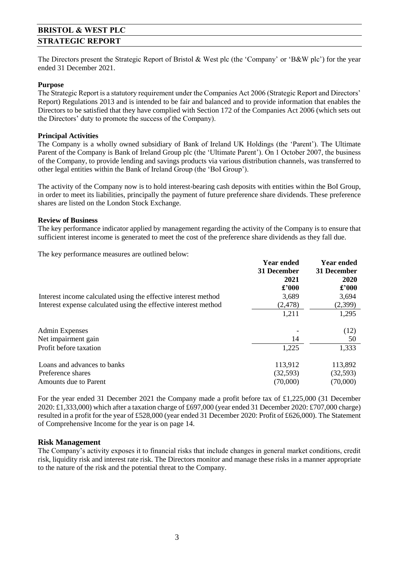# **BRISTOL & WEST PLC STRATEGIC REPORT**

The Directors present the Strategic Report of Bristol & West plc (the 'Company' or 'B&W plc') for the year ended 31 December 2021.

#### **Purpose**

The Strategic Report is a statutory requirement under the Companies Act 2006 (Strategic Report and Directors' Report) Regulations 2013 and is intended to be fair and balanced and to provide information that enables the Directors to be satisfied that they have complied with Section 172 of the Companies Act 2006 (which sets out the Directors' duty to promote the success of the Company).

#### **Principal Activities**

The Company is a wholly owned subsidiary of Bank of Ireland UK Holdings (the 'Parent'). The Ultimate Parent of the Company is Bank of Ireland Group plc (the 'Ultimate Parent'). On 1 October 2007, the business of the Company, to provide lending and savings products via various distribution channels, was transferred to other legal entities within the Bank of Ireland Group (the 'BoI Group').

The activity of the Company now is to hold interest-bearing cash deposits with entities within the BoI Group, in order to meet its liabilities, principally the payment of future preference share dividends. These preference shares are listed on the London Stock Exchange.

#### **Review of Business**

The key performance indicator applied by management regarding the activity of the Company is to ensure that sufficient interest income is generated to meet the cost of the preference share dividends as they fall due.

The key performance measures are outlined below:

|                                                                 | <b>Year ended</b> | Year ended     |
|-----------------------------------------------------------------|-------------------|----------------|
|                                                                 | 31 December       | 31 December    |
|                                                                 | 2021              | 2020           |
|                                                                 | £'000             | $\pounds$ '000 |
| Interest income calculated using the effective interest method  | 3,689             | 3,694          |
| Interest expense calculated using the effective interest method | (2, 478)          | (2,399)        |
|                                                                 | 1,211             | 1,295          |
| <b>Admin Expenses</b>                                           |                   | (12)           |
| Net impairment gain                                             | 14                | 50             |
| Profit before taxation                                          | 1,225             | 1,333          |
| Loans and advances to banks                                     | 113,912           | 113,892        |
| Preference shares                                               | (32, 593)         | (32, 593)      |
| Amounts due to Parent                                           | (70,000)          | (70,000)       |

For the year ended 31 December 2021 the Company made a profit before tax of £1,225,000 (31 December 2020: £1,333,000) which after a taxation charge of £697,000 (year ended 31 December 2020: £707,000 charge) resulted in a profit for the year of £528,000 (year ended 31 December 2020: Profit of £626,000). The Statement of Comprehensive Income for the year is on page 14.

#### **Risk Management**

The Company's activity exposes it to financial risks that include changes in general market conditions, credit risk, liquidity risk and interest rate risk. The Directors monitor and manage these risks in a manner appropriate to the nature of the risk and the potential threat to the Company.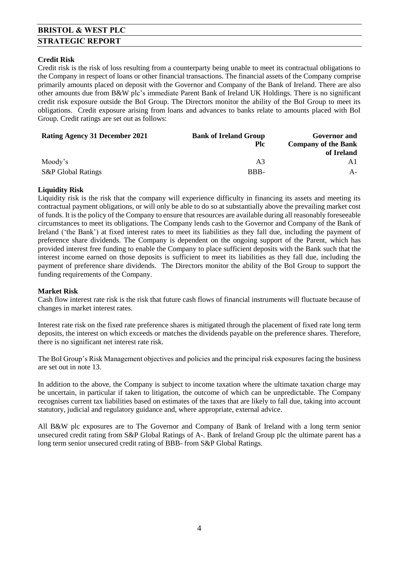# **BRISTOL & WEST PLC STRATEGIC REPORT**

#### **Credit Risk**

Credit risk is the risk of loss resulting from a counterparty being unable to meet its contractual obligations to the Company in respect of loans or other financial transactions. The financial assets of the Company comprise primarily amounts placed on deposit with the Governor and Company of the Bank of Ireland. There are also other amounts due from B&W plc's immediate Parent Bank of Ireland UK Holdings. There is no significant credit risk exposure outside the BoI Group. The Directors monitor the ability of the BoI Group to meet its obligations. Credit exposure arising from loans and advances to banks relate to amounts placed with BoI Group. Credit ratings are set out as follows:

| <b>Rating Agency 31 December 2021</b><br><b>Bank of Ireland Group</b> |            | Governor and               |
|-----------------------------------------------------------------------|------------|----------------------------|
|                                                                       | <b>Plc</b> | <b>Company of the Bank</b> |
|                                                                       |            | of Ireland                 |
| Moody's                                                               | A3         |                            |
| <b>S&amp;P</b> Global Ratings                                         | BBB-       | A-                         |

#### **Liquidity Risk**

Liquidity risk is the risk that the company will experience difficulty in financing its assets and meeting its contractual payment obligations, or will only be able to do so at substantially above the prevailing market cost of funds. It is the policy of the Company to ensure that resources are available during all reasonably foreseeable circumstances to meet its obligations. The Company lends cash to the Governor and Company of the Bank of Ireland ('the Bank') at fixed interest rates to meet its liabilities as they fall due, including the payment of preference share dividends. The Company is dependent on the ongoing support of the Parent, which has provided interest free funding to enable the Company to place sufficient deposits with the Bank such that the interest income earned on those deposits is sufficient to meet its liabilities as they fall due, including the payment of preference share dividends. The Directors monitor the ability of the BoI Group to support the funding requirements of the Company.

#### **Market Risk**

Cash flow interest rate risk is the risk that future cash flows of financial instruments will fluctuate because of changes in market interest rates.

Interest rate risk on the fixed rate preference shares is mitigated through the placement of fixed rate long term deposits, the interest on which exceeds or matches the dividends payable on the preference shares. Therefore, there is no significant net interest rate risk.

The BoI Group's Risk Management objectives and policies and the principal risk exposures facing the business are set out in note 13.

In addition to the above, the Company is subject to income taxation where the ultimate taxation charge may be uncertain, in particular if taken to litigation, the outcome of which can be unpredictable. The Company recognises current tax liabilities based on estimates of the taxes that are likely to fall due, taking into account statutory, judicial and regulatory guidance and, where appropriate, external advice.

All B&W plc exposures are to The Governor and Company of Bank of Ireland with a long term senior unsecured credit rating from S&P Global Ratings of A-. Bank of Ireland Group plc the ultimate parent has a long term senior unsecured credit rating of BBB- from S&P Global Ratings.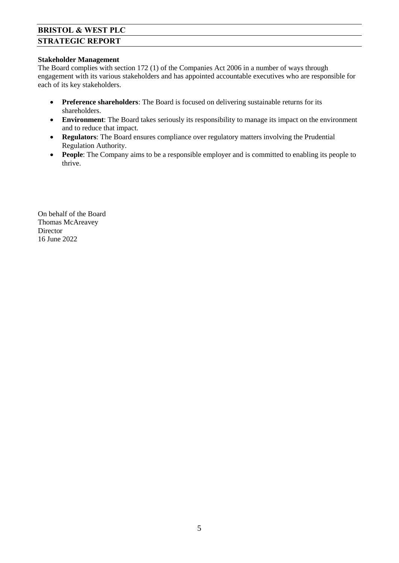# **BRISTOL & WEST PLC STRATEGIC REPORT**

#### **Stakeholder Management**

The Board complies with section 172 (1) of the Companies Act 2006 in a number of ways through engagement with its various stakeholders and has appointed accountable executives who are responsible for each of its key stakeholders.

- **Preference shareholders**: The Board is focused on delivering sustainable returns for its shareholders.
- **Environment**: The Board takes seriously its responsibility to manage its impact on the environment and to reduce that impact.
- **Regulators**: The Board ensures compliance over regulatory matters involving the Prudential Regulation Authority.
- **People:** The Company aims to be a responsible employer and is committed to enabling its people to thrive.

On behalf of the Board Thomas McAreavey Director 16 June 2022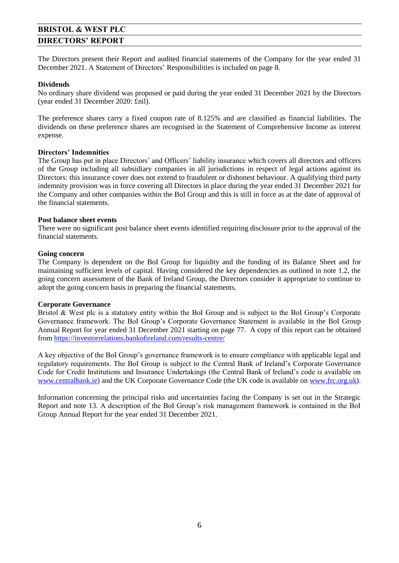# **BRISTOL & WEST PLC DIRECTORS' REPORT**

The Directors present their Report and audited financial statements of the Company for the year ended 31 December 2021. A Statement of Directors' Responsibilities is included on page 8.

#### **Dividends**

No ordinary share dividend was proposed or paid during the year ended 31 December 2021 by the Directors (year ended 31 December 2020: £nil).

The preference shares carry a fixed coupon rate of 8.125% and are classified as financial liabilities. The dividends on these preference shares are recognised in the Statement of Comprehensive Income as interest expense.

#### **Directors' Indemnities**

The Group has put in place Directors' and Officers' liability insurance which covers all directors and officers of the Group including all subsidiary companies in all jurisdictions in respect of legal actions against its Directors: this insurance cover does not extend to fraudulent or dishonest behaviour. A qualifying third party indemnity provision was in force covering all Directors in place during the year ended 31 December 2021 for the Company and other companies within the BoI Group and this is still in force as at the date of approval of the financial statements.

#### **Post balance sheet events**

There were no significant post balance sheet events identified requiring disclosure prior to the approval of the financial statements.

#### **Going concern**

The Company is dependent on the BoI Group for liquidity and the funding of its Balance Sheet and for maintaining sufficient levels of capital. Having considered the key dependencies as outlined in note 1.2, the going concern assessment of the Bank of Ireland Group, the Directors consider it appropriate to continue to adopt the going concern basis in preparing the financial statements.

#### **Corporate Governance**

Bristol & West plc is a statutory entity within the BoI Group and is subject to the BoI Group's Corporate Governance framework. The BoI Group's Corporate Governance Statement is available in the BoI Group Annual Report for year ended 31 December 2021 starting on page 77. A copy of this report can be obtained from<https://investorrelations.bankofireland.com/results-centre/>

A key objective of the BoI Group's governance framework is to ensure compliance with applicable legal and regulatory requirements. The BoI Group is subject to the Central Bank of Ireland's Corporate Governance Code for Credit Institutions and Insurance Undertakings (the Central Bank of Ireland's code is available on [www.centralbank.ie\)](http://www.centralbank.ie/) and the UK Corporate Governance Code (the UK code is available on [www.frc.org.uk\)](http://www.frc.org.uk/).

Information concerning the principal risks and uncertainties facing the Company is set out in the Strategic Report and note 13. A description of the BoI Group's risk management framework is contained in the BoI Group Annual Report for the year ended 31 December 2021.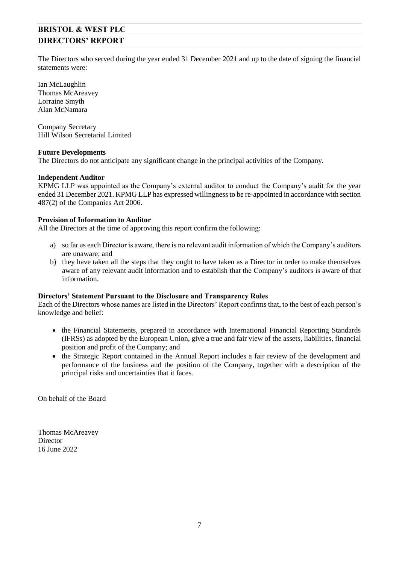# **BRISTOL & WEST PLC DIRECTORS' REPORT**

The Directors who served during the year ended 31 December 2021 and up to the date of signing the financial statements were:

Ian McLaughlin Thomas McAreavey Lorraine Smyth Alan McNamara

Company Secretary Hill Wilson Secretarial Limited

#### **Future Developments**

The Directors do not anticipate any significant change in the principal activities of the Company.

#### **Independent Auditor**

KPMG LLP was appointed as the Company's external auditor to conduct the Company's audit for the year ended 31 December 2021. KPMG LLP has expressed willingness to be re-appointed in accordance with section 487(2) of the Companies Act 2006.

#### **Provision of Information to Auditor**

All the Directors at the time of approving this report confirm the following:

- a) so far as each Director is aware, there is no relevant audit information of which the Company's auditors are unaware; and
- b) they have taken all the steps that they ought to have taken as a Director in order to make themselves aware of any relevant audit information and to establish that the Company's auditors is aware of that information.

#### **Directors' Statement Pursuant to the Disclosure and Transparency Rules**

Each of the Directors whose names are listed in the Directors' Report confirms that, to the best of each person's knowledge and belief:

- the Financial Statements, prepared in accordance with International Financial Reporting Standards (IFRSs) as adopted by the European Union, give a true and fair view of the assets, liabilities, financial position and profit of the Company; and
- the Strategic Report contained in the Annual Report includes a fair review of the development and performance of the business and the position of the Company, together with a description of the principal risks and uncertainties that it faces.

On behalf of the Board

Thomas McAreavey Director 16 June 2022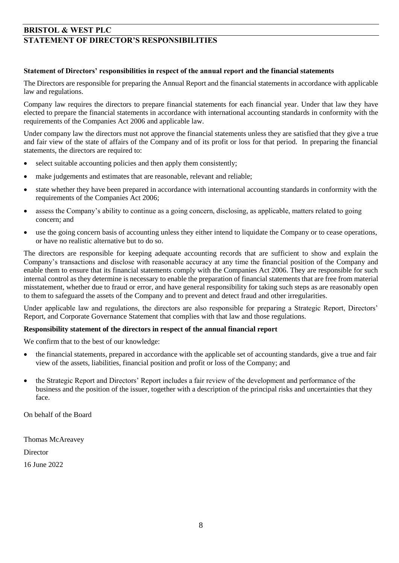## **BRISTOL & WEST PLC STATEMENT OF DIRECTOR'S RESPONSIBILITIES**

#### **Statement of Directors' responsibilities in respect of the annual report and the financial statements**

The Directors are responsible for preparing the Annual Report and the financial statements in accordance with applicable law and regulations.

Company law requires the directors to prepare financial statements for each financial year. Under that law they have elected to prepare the financial statements in accordance with international accounting standards in conformity with the requirements of the Companies Act 2006 and applicable law.

Under company law the directors must not approve the financial statements unless they are satisfied that they give a true and fair view of the state of affairs of the Company and of its profit or loss for that period. In preparing the financial statements, the directors are required to:

- select suitable accounting policies and then apply them consistently;
- make judgements and estimates that are reasonable, relevant and reliable;
- state whether they have been prepared in accordance with international accounting standards in conformity with the requirements of the Companies Act 2006;
- assess the Company's ability to continue as a going concern, disclosing, as applicable, matters related to going concern; and
- use the going concern basis of accounting unless they either intend to liquidate the Company or to cease operations, or have no realistic alternative but to do so.

The directors are responsible for keeping adequate accounting records that are sufficient to show and explain the Company's transactions and disclose with reasonable accuracy at any time the financial position of the Company and enable them to ensure that its financial statements comply with the Companies Act 2006. They are responsible for such internal control as they determine is necessary to enable the preparation of financial statements that are free from material misstatement, whether due to fraud or error, and have general responsibility for taking such steps as are reasonably open to them to safeguard the assets of the Company and to prevent and detect fraud and other irregularities.

Under applicable law and regulations, the directors are also responsible for preparing a Strategic Report, Directors' Report, and Corporate Governance Statement that complies with that law and those regulations.

#### **Responsibility statement of the directors in respect of the annual financial report**

We confirm that to the best of our knowledge:

- the financial statements, prepared in accordance with the applicable set of accounting standards, give a true and fair view of the assets, liabilities, financial position and profit or loss of the Company; and
- the Strategic Report and Directors' Report includes a fair review of the development and performance of the business and the position of the issuer, together with a description of the principal risks and uncertainties that they face.

On behalf of the Board

Thomas McAreavey **Director** 16 June 2022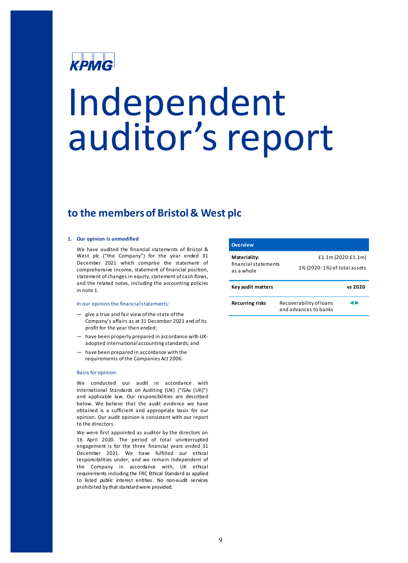# крмG

# Independent auditor's report

# **to the members of Bristol & West plc**

#### **1. Our opinion is unmodified**

We have audited the financial statements of Bristol & West plc ("the Company") for the year ended 31 December 2021 which comprise the statement of comprehensive income, statement of financial position, statement of changes in equity, statement of cash flows, and the related notes, including the accounting policies in note 1.

#### In our opinion the financial statements:

- give a true and fair view of the state of the Company's affairs as at 31 December 2021 and of its profit for the year then ended;
- have been properly prepared in accordance with UKadopted international accounting standards; and
- have been prepared in accordance with the requirements of the Companies Act 2006.

#### Basis for opinion

We conducted our audit in accordance with International Standards on Auditing (UK) ("ISAs (UK)") and applicable law. Our responsibilities are described below. We believe that the audit evidence we have obtained is a sufficient and appropriate basis for our opinion. Our audit opinion is consistent with our report to the directors.

We were first appointed as auditor by the directors on 16 April 2020. The period of total uninterrupted engagement is for the three financial years ended 31 December 2021. We have fulfilled our ethical responsibilities under, and we remain independent of the Company in accordance with, UK ethical requirements including the FRC Ethical Standard as applied to listed public interest entities. No non-audit services prohibited by that standardwere provided.

| <b>Overview</b>                                    |                                                  |                    |
|----------------------------------------------------|--------------------------------------------------|--------------------|
| Materiality:<br>financial statements<br>as a whole | 1% (2020: 1%) of total assets                    | £1.1m (2020:£1.1m) |
| Key audit matters                                  |                                                  | vs 2020            |
| <b>Recurring risks</b>                             | Recoverability of loans<br>and advances to banks |                    |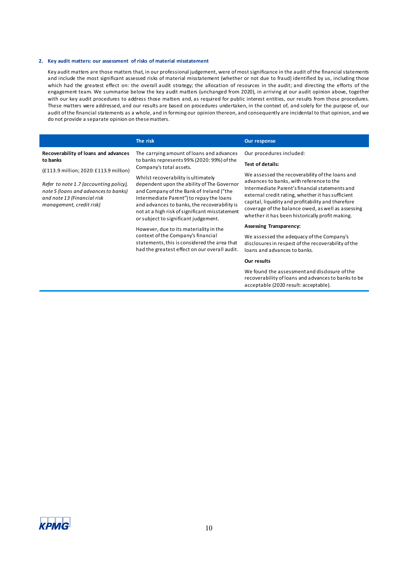#### **2. Key audit matters: our assessment of risks of material misstatement**

Key audit matters are those matters that, in our professional judgement, were of most significance in the audit ofthe financial statements and include the most significant assessed risks of material misstatement (whether or not due to fraud) identified by us, including those which had the greatest effect on: the overall audit strategy; the allocation of resources in the audit; and directing the efforts of the engagement team. We summarise below the key audit matters (unchanged from 2020), in arriving at our audit opinion above, together with our key audit procedures to address those matters and, as required for public interest entities, our results from those procedures. These matters were addressed, and our results are based on procedures undertaken, in the context of, and solely for the purpose of, our audit ofthe financial statements as a whole, and in forming our opinion thereon, and consequently are incidental to that opinion, and we do not provide a separate opinion on thesematters.

|                                                                                                                                           | The risk                                                                                                                                                                                                                                                                                                                                                      | Our response                                                                                                                                                                                                                                                                                                                                                      |
|-------------------------------------------------------------------------------------------------------------------------------------------|---------------------------------------------------------------------------------------------------------------------------------------------------------------------------------------------------------------------------------------------------------------------------------------------------------------------------------------------------------------|-------------------------------------------------------------------------------------------------------------------------------------------------------------------------------------------------------------------------------------------------------------------------------------------------------------------------------------------------------------------|
| Recoverability of loans and advances                                                                                                      | The carrying amount of loans and advances                                                                                                                                                                                                                                                                                                                     | Our procedures included:                                                                                                                                                                                                                                                                                                                                          |
| to banks                                                                                                                                  | to banks represents 99% (2020: 99%) of the<br>Company's total assets.                                                                                                                                                                                                                                                                                         | Test of details:                                                                                                                                                                                                                                                                                                                                                  |
| Refer to note 1.7 (accounting policy),<br>note 5 (loans and advances to banks)<br>and note 13 (Financial risk<br>management, credit risk) | (£113.9 million; 2020: £113.9 million)<br>Whilst recoverability is ultimately<br>dependent upon the ability of The Governor<br>and Company of the Bank of Ireland ("the<br>Intermediate Parent") to repay the loans<br>and advances to banks, the recoverability is<br>not at a high risk of significant misstatement<br>or subject to significant judgement. | We assessed the recoverability of the loans and<br>advances to banks, with reference to the<br>Intermediate Parent's financial statements and<br>external credit rating, whether it has sufficient<br>capital, liquidity and profitability and therefore<br>coverage of the balance owed, as well as assessing<br>whether it has been historically profit making. |
|                                                                                                                                           | However, due to its materiality in the                                                                                                                                                                                                                                                                                                                        | <b>Assessing Transparency:</b>                                                                                                                                                                                                                                                                                                                                    |
|                                                                                                                                           | context of the Company's financial<br>statements, this is considered the area that<br>had the greatest effect on our overall audit.                                                                                                                                                                                                                           | We assessed the adequacy of the Company's<br>disclosures in respect of the recoverability of the<br>loans and advances to banks.                                                                                                                                                                                                                                  |
|                                                                                                                                           |                                                                                                                                                                                                                                                                                                                                                               | Our results                                                                                                                                                                                                                                                                                                                                                       |
|                                                                                                                                           |                                                                                                                                                                                                                                                                                                                                                               |                                                                                                                                                                                                                                                                                                                                                                   |

We found the assessment and disclosure of the recoverability of loans and advances to banks to be acceptable (2020 result: acceptable).

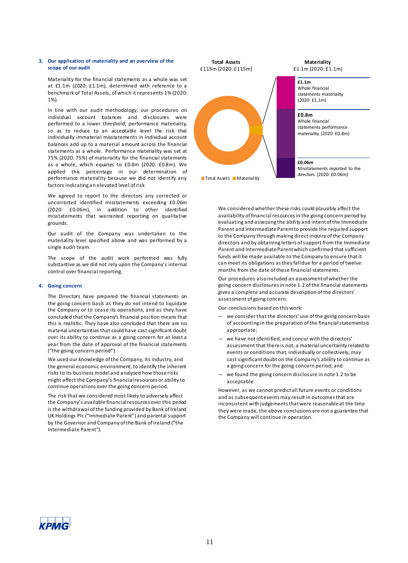#### **3. Our application of materiality and an overview of the scope of our audit**

Materiality for the financial statements as a whole was set at £1.1m (2020: £1.1m), determined with reference to a benchmark of Total Assets, of which it represents 1% (2020: 1%).

In line with our audit methodology, our procedures on individual account balances and disclosures were performed to a lower threshold, performance materiality, so as to reduce to an acceptable level the risk that individually immaterial misstatements in individual account balances add up to a material amount across the financial statements as a whole. Performance materiality was set at 75% (2020: 75%) of materiality for the financial statements as a whole, which equates to £0.8m (2020: £0.8m). We applied this percentage in our determination of performance materiality because we did not identify any factors indicating an elevated level ofrisk

We agreed to report to the directors any corrected or uncorrected identified misstatements exceeding £0.06m (2020: £0.06m), in addition to other identified misstatements that warranted reporting on qualitative grounds.

Our audit of the Company was undertaken to the materiality level specified above and was performed by a single audit team.

The scope of the audit work performed was fully substantive as we did not rely upon the Company's internal control over financial reporting.

#### **4. Going concern**

The Directors have prepared the financial statements on the going concern basis as they do not intend to liquidate the Company or to cease its operations, and as they have concluded that the Company's financial position means that this is realistic. They have also concluded that there are no material uncertainties that could have cast significant doubt over its ability to continue as a going concern for at least a year from the date of approval of the financial statements ("the going concern period").

We used our knowledge of the Company, its industry, and the general economic environment, to identify the inherent risks to its business model and analysed how those risks might affect the Company's financial resources or ability to continue operations over the going concern period.

The risk that we considered most likely to adversely affect the Company's available financial resources over this period is the withdrawal of the funding provided by Bank of Ireland UK Holdings Plc ("Immediate Parent") and parental support by the Governor and Company of the Bank of Ireland ("the Intermediate Parent").



#### **Materiality** £1.1m (2020: £1.1m)

Whole financial statements materiality (2020: £1.1m)

Whole financial statements performance materiality (2020: £0.8m)

Misstatements reported to the

We considered whether these risks could plausibly affect the availability of financial resources in the going concern period by evaluating and assessing the ability and intent of the Immediate Parent and Intermediate Parent to provide the required support to the Company through making direct inquiry of the Company directors and by obtaining letters of support from the Immediate Parent and Intermediate Parent which confirmed that sufficient funds will be made available to the Company to ensure that it can meet its obligations as they fall due for a period of twelve months from the date of these financial statements.

Our procedures also included an assessment of whether the going concern disclosures in note 1.2 of the financial statements gives a complete and accurate description of the directors' assessment of going concern.

Our conclusions based on this work:

- we consider that the directors' use of the going concern basis of accounting in the preparation of the financial statements is appropriate;
- we have not identified, and concur with the directors' assessment that there is not, a material uncertainty related to events or conditions that, individually or collectively, may cast significant doubt on the Company's ability to continue as a going concern for the going concern period; and
- we found the going concern disclosure in note 1.2 to be acceptable.

However, as we cannot predict all future events or conditions and as subsequent events may result in outcomes that are inconsistent with judgements that were reasonable at the time they were made, the above conclusions are not a guarantee that the Company will continue in operation.

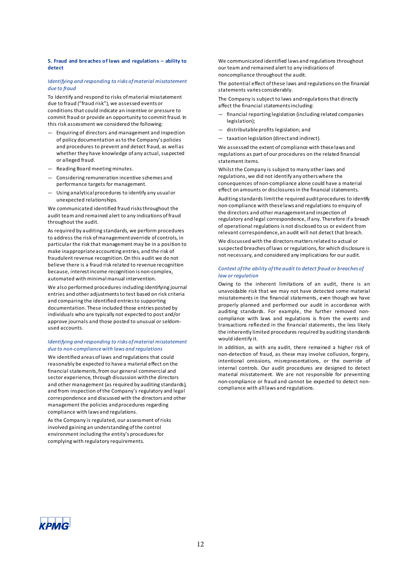#### **5. Fraud and bre aches of laws and regulations – ability to detect**

#### *Identifying and responding to risks of material misstatement due to fraud*

To Identify and respond to risks of material misstatement due to fraud ("fraud risk"), we assessed events or conditions that could indicate an incentive or pressure to commit fraud or provide an opportunity to commit fraud. In this risk assessment we considered the following:

- Enquiring of directors and management and inspection of policy documentation as to the Company's policies and procedures to prevent and detect fraud, as well as whether they have knowledge of any actual, suspected or alleged fraud.
- Reading Board meeting minutes.
- Considering remuneration incentive schemes and performance targets for management.
- Using analytical procedures to identify any usual or unexpected relationships.

We communicated identified fraud risks throughout the audit team and remained alert to any indications of fraud throughout the audit.

As required by auditing standards, we perform procedures to address the risk of management override of controls, in particular the risk that management may be in a position to make inappropriate accounting entries, and the risk of fraudulent revenue recognition. On this audit we do not believe there is a fraud risk related to revenue recognition because, interest income recognition is non-complex, automated with minimal manual intervention.

We also performed procedures including identifying journal entries and other adjustments to test based on risk criteria and comparing the identified entries to supporting documentation. These included those entries posted by individuals who are typically not expected to post and/or approve journals and those posted to unusual or seldomused accounts.

#### *Identifying and responding to risks of material misstatement due to non-compliance with laws and regulations*

We identified areas of laws and regulations that could reasonably be expected to have a material effect on the financial statements, from our general commercial and sector experience, through discussion with the directors and other management (as required by auditing standards), and from inspection of the Company's regulatory and legal correspondence and discussed with the directors and other management the policies and procedures regarding compliance with laws and regulations.

As the Company is regulated, our assessment of risks involved gaining an understanding of the control environment including the entity's procedures for complying with regulatory requirements.

We communicated identified laws and regulations throughout our team and remained alert to any indications of noncompliance throughout the audit.

The potential effect of these laws and regulations on the financial statements varies considerably.

The Company is subject to laws and regulations that directly affect the financial statements including:

- financial reporting legislation (including related companies legislation);
- distributable profits legislation; and
- taxation legislation (direct and indirect).

We assessed the extent of compliance with these laws and regulations as part of our procedures on the related financial statement items.

Whilst the Company is subject to many other laws and regulations, we did not identify any others where the consequences of non-compliance alone could have a material effect on amounts or disclosures in the financial statements.

Auditing standards limit the required audit procedures to identify non-compliance with these laws and regulations to enquiry of the directors and other management and inspection of regulatory and legal correspondence, if any. Therefore if a breach of operational regulations is not disclosed to us or evident from relevant correspondence, an audit will not detect that breach.

We discussed with the directors matters related to actual or suspected breaches of laws or regulations, for which disclosure is not necessary, and considered any implications for our audit.

#### *Context of the ability of the audit to detect fraud or breaches of law or regulation*

Owing to the inherent limitations of an audit, there is an unavoidable risk that we may not have detected some material misstatements in the financial statements, even though we have properly planned and performed our audit in accordance with auditing standards. For example, the further removed noncompliance with laws and regulations is from the events and transactions reflected in the financial statements, the less likely the inherently limited procedures required by auditing standards would identify it.

In addition, as with any audit, there remained a higher risk of non-detection of fraud, as these may involve collusion, forgery, intentional omissions, misrepresentations, or the override of internal controls. Our audit procedures are designed to detect material misstatement. We are not responsible for preventing non-compliance or fraud and cannot be expected to detect noncompliance with all laws and regulations.

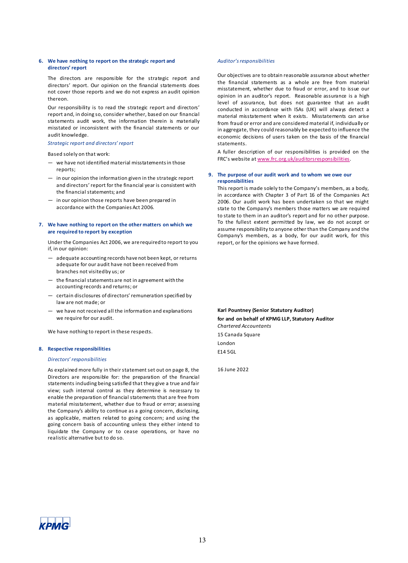#### **6. We have nothing to report on the strategic report and directors' report**

The directors are responsible for the strategic report and directors' report. Our opinion on the financial statements does not cover those reports and we do not express an audit opinion thereon.

Our responsibility is to read the strategic report and directors' report and, in doing so, consider whether, based on our financial statements audit work, the information therein is materially misstated or inconsistent with the financial statements or our audit knowledge.

#### *Strategic report and directors' report*

Based solely on that work:

- we have not identified material misstatements in those reports;
- in our opinion the information given in the strategic report and directors' report for the financial year is consistent with the financial statements; and
- in our opinion those reports have been prepared in accordance with the Companies Act 2006.

#### **7. We have nothing to report on the other matters on which we are required to report by exception**

Under the Companies Act 2006, we are required to report to you if, in our opinion:

- adequate accounting records have not been kept, or returns adequate for our audit have not been received from branches not visited by us; or
- the financial statements are not in agreement with the accounting records and returns; or
- certain disclosures of directors' remuneration specified by law are not made; or
- we have not received all the information and explanations we require for our audit.

We have nothing to report in these respects.

#### **8. Respective responsibilities**

#### *Directors' responsibilities*

As explained more fully in their statement set out on page 8, the Directors are responsible for: the preparation of the financial statements including being satisfied that they give a true and fair view; such internal control as they determine is necessary to enable the preparation of financial statements that are free from material misstatement, whether due to fraud or error; assessing the Company's ability to continue as a going concern, disclosing, as applicable, matters related to going concern; and using the going concern basis of accounting unless they either intend to liquidate the Company or to cease operations, or have no realistic alternative but to do so.

#### *Auditor's responsibilities*

Our objectives are to obtain reasonable assurance about whether the financial statements as a whole are free from material misstatement, whether due to fraud or error, and to issue our opinion in an auditor's report. Reasonable assurance is a high level of assurance, but does not guarantee that an audit conducted in accordance with ISAs (UK) will always detect a material misstatement when it exists. Misstatements can arise from fraud or error and are considered material if, individually or in aggregate, they could reasonably be expected to influence the economic decisions of users taken on the basis of the financial statements.

A fuller description of our responsibilities is provided on the FRC's website at [www.frc.org.uk/auditorsresponsibilities.](http://www.frc.org.uk/auditorsresponsibilities)

#### **9. The purpose of our audit work and to whom we owe our responsibilities**

This report is made solely to the Company's members, as a body, in accordance with Chapter 3 of Part 16 of the Companies Act 2006. Our audit work has been undertaken so that we might state to the Company's members those matters we are required to state to them in an auditor's report and for no other purpose. To the fullest extent permitted by law, we do not accept or assume responsibility to anyone other than the Company and the Company's members, as a body, for our audit work, for this report, or for the opinions we have formed.

**Karl Pountney (Senior Statutory Auditor) for and on behalf of KPMG LLP, Statutory Auditor**  *Chartered Accountants*  15 Canada Square

London E14 5GL

16 June 2022

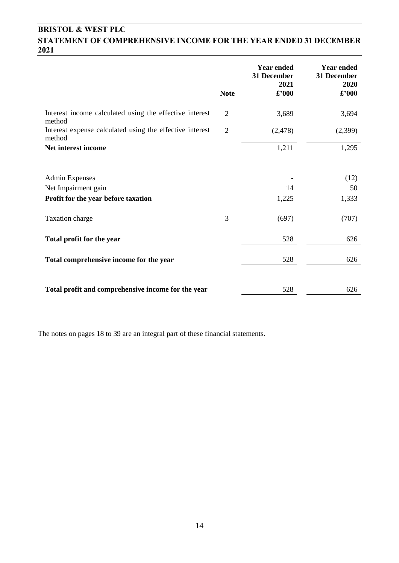## **STATEMENT OF COMPREHENSIVE INCOME FOR THE YEAR ENDED 31 DECEMBER 2021**

|                                                                                     |                | <b>Year ended</b><br>31 December<br>2021 | <b>Year ended</b><br>31 December<br>2020 |
|-------------------------------------------------------------------------------------|----------------|------------------------------------------|------------------------------------------|
|                                                                                     | <b>Note</b>    | $\pounds$ '000                           | £'000                                    |
| Interest income calculated using the effective interest<br>method                   | $\overline{2}$ | 3,689                                    | 3,694                                    |
| Interest expense calculated using the effective interest<br>method                  | $\overline{2}$ | (2, 478)                                 | (2,399)                                  |
| Net interest income                                                                 |                | 1,211                                    | 1,295                                    |
| <b>Admin Expenses</b><br>Net Impairment gain<br>Profit for the year before taxation |                | 14<br>1,225                              | (12)<br>50<br>1,333                      |
|                                                                                     |                |                                          |                                          |
| Taxation charge                                                                     | 3              | (697)                                    | (707)                                    |
| Total profit for the year                                                           |                | 528                                      | 626                                      |
| Total comprehensive income for the year                                             |                | 528                                      | 626                                      |
| Total profit and comprehensive income for the year                                  |                | 528                                      | 626                                      |

The notes on pages 18 to 39 are an integral part of these financial statements.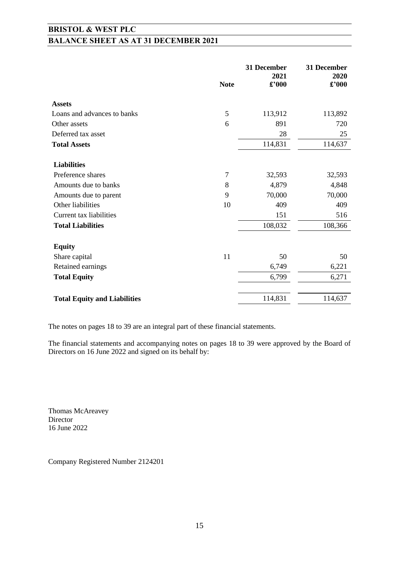# **BRISTOL & WEST PLC BALANCE SHEET AS AT 31 DECEMBER 2021**

|                                     | <b>Note</b>    | 31 December<br>2021<br>$\pounds$ '000 | 31 December<br>2020<br>$\pmb{\pounds}$ '000 |
|-------------------------------------|----------------|---------------------------------------|---------------------------------------------|
| <b>Assets</b>                       |                |                                       |                                             |
| Loans and advances to banks         | 5              | 113,912                               | 113,892                                     |
| Other assets                        | 6              | 891                                   | 720                                         |
| Deferred tax asset                  |                | 28                                    | 25                                          |
| <b>Total Assets</b>                 |                | 114,831                               | 114,637                                     |
| <b>Liabilities</b>                  |                |                                       |                                             |
| Preference shares                   | $\overline{7}$ | 32,593                                | 32,593                                      |
| Amounts due to banks                | 8              | 4,879                                 | 4,848                                       |
| Amounts due to parent               | 9              | 70,000                                | 70,000                                      |
| Other liabilities                   | 10             | 409                                   | 409                                         |
| Current tax liabilities             |                | 151                                   | 516                                         |
| <b>Total Liabilities</b>            |                | 108,032                               | 108,366                                     |
| <b>Equity</b>                       |                |                                       |                                             |
| Share capital                       | 11             | 50                                    | 50                                          |
| Retained earnings                   |                | 6,749                                 | 6,221                                       |
| <b>Total Equity</b>                 |                | 6,799                                 | 6,271                                       |
| <b>Total Equity and Liabilities</b> |                | 114,831                               | 114,637                                     |

The notes on pages 18 to 39 are an integral part of these financial statements.

The financial statements and accompanying notes on pages 18 to 39 were approved by the Board of Directors on 16 June 2022 and signed on its behalf by:

Thomas McAreavey Director 16 June 2022

Company Registered Number 2124201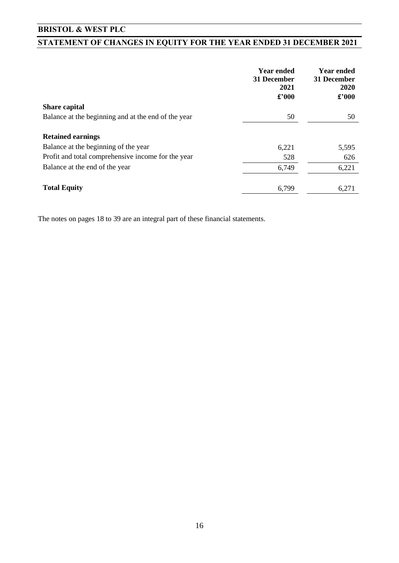# **STATEMENT OF CHANGES IN EQUITY FOR THE YEAR ENDED 31 DECEMBER 2021**

|                                                     | <b>Year ended</b><br>31 December<br>2021<br>$\pounds$ '000 | <b>Year ended</b><br>31 December<br>2020<br>£'000 |
|-----------------------------------------------------|------------------------------------------------------------|---------------------------------------------------|
| <b>Share capital</b>                                |                                                            |                                                   |
| Balance at the beginning and at the end of the year | 50                                                         | 50                                                |
| <b>Retained earnings</b>                            |                                                            |                                                   |
| Balance at the beginning of the year                | 6,221                                                      | 5,595                                             |
| Profit and total comprehensive income for the year  | 528                                                        | 626                                               |
| Balance at the end of the year                      | 6,749                                                      | 6,221                                             |
| <b>Total Equity</b>                                 | 6,799                                                      | 6,271                                             |

The notes on pages 18 to 39 are an integral part of these financial statements.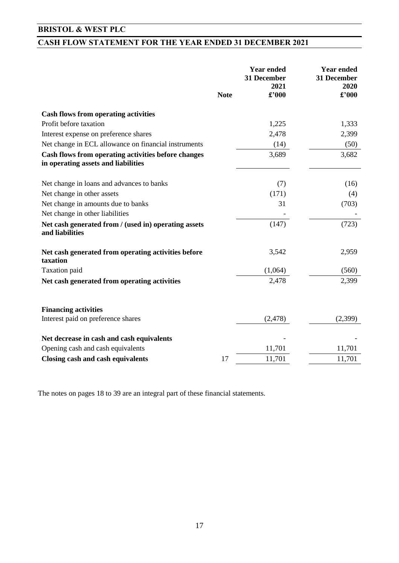# **CASH FLOW STATEMENT FOR THE YEAR ENDED 31 DECEMBER 2021**

|                                                                                            | <b>Note</b> | <b>Year ended</b><br>31 December<br>2021<br>£'000 | <b>Year ended</b><br>31 December<br>2020<br>£'000 |
|--------------------------------------------------------------------------------------------|-------------|---------------------------------------------------|---------------------------------------------------|
|                                                                                            |             |                                                   |                                                   |
| <b>Cash flows from operating activities</b>                                                |             |                                                   |                                                   |
| Profit before taxation                                                                     |             | 1,225                                             | 1,333                                             |
| Interest expense on preference shares                                                      |             | 2,478                                             | 2,399                                             |
| Net change in ECL allowance on financial instruments                                       |             | (14)                                              | (50)                                              |
| Cash flows from operating activities before changes<br>in operating assets and liabilities |             | 3,689                                             | 3,682                                             |
| Net change in loans and advances to banks                                                  |             | (7)                                               | (16)                                              |
| Net change in other assets                                                                 |             | (171)                                             | (4)                                               |
| Net change in amounts due to banks                                                         |             | 31                                                | (703)                                             |
| Net change in other liabilities                                                            |             |                                                   |                                                   |
| Net cash generated from / (used in) operating assets<br>and liabilities                    |             | (147)                                             | (723)                                             |
| Net cash generated from operating activities before<br>taxation                            |             | 3,542                                             | 2,959                                             |
| Taxation paid                                                                              |             | (1,064)                                           | (560)                                             |
| Net cash generated from operating activities                                               |             | 2,478                                             | 2,399                                             |
| <b>Financing activities</b>                                                                |             |                                                   |                                                   |
| Interest paid on preference shares                                                         |             | (2, 478)                                          | (2,399)                                           |
| Net decrease in cash and cash equivalents                                                  |             |                                                   |                                                   |
| Opening cash and cash equivalents                                                          |             | 11,701                                            | 11,701                                            |
| <b>Closing cash and cash equivalents</b>                                                   | 17          | 11,701                                            | 11,701                                            |

The notes on pages 18 to 39 are an integral part of these financial statements.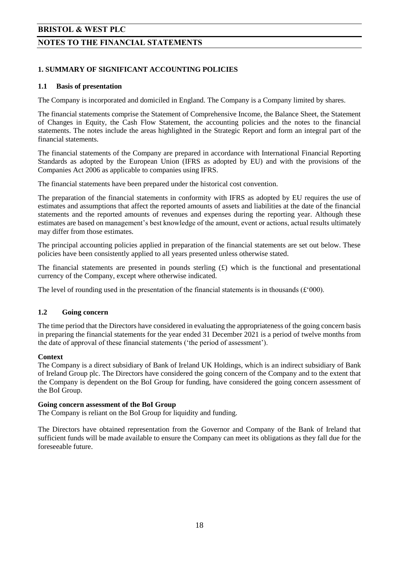#### **NOTES TO THE FINANCIAL STATEMENTS**

#### **1. SUMMARY OF SIGNIFICANT ACCOUNTING POLICIES**

#### **1.1 Basis of presentation**

The Company is incorporated and domiciled in England. The Company is a Company limited by shares.

The financial statements comprise the Statement of Comprehensive Income, the Balance Sheet, the Statement of Changes in Equity, the Cash Flow Statement, the accounting policies and the notes to the financial statements. The notes include the areas highlighted in the Strategic Report and form an integral part of the financial statements.

The financial statements of the Company are prepared in accordance with International Financial Reporting Standards as adopted by the European Union (IFRS as adopted by EU) and with the provisions of the Companies Act 2006 as applicable to companies using IFRS.

The financial statements have been prepared under the historical cost convention.

The preparation of the financial statements in conformity with IFRS as adopted by EU requires the use of estimates and assumptions that affect the reported amounts of assets and liabilities at the date of the financial statements and the reported amounts of revenues and expenses during the reporting year. Although these estimates are based on management's best knowledge of the amount, event or actions, actual results ultimately may differ from those estimates.

The principal accounting policies applied in preparation of the financial statements are set out below. These policies have been consistently applied to all years presented unless otherwise stated.

The financial statements are presented in pounds sterling  $(E)$  which is the functional and presentational currency of the Company, except where otherwise indicated.

The level of rounding used in the presentation of the financial statements is in thousands  $(f'000)$ .

#### **1.2 Going concern**

The time period that the Directors have considered in evaluating the appropriateness of the going concern basis in preparing the financial statements for the year ended 31 December 2021 is a period of twelve months from the date of approval of these financial statements ('the period of assessment').

#### **Context**

The Company is a direct subsidiary of Bank of Ireland UK Holdings, which is an indirect subsidiary of Bank of Ireland Group plc. The Directors have considered the going concern of the Company and to the extent that the Company is dependent on the BoI Group for funding, have considered the going concern assessment of the BoI Group.

#### **Going concern assessment of the BoI Group**

The Company is reliant on the BoI Group for liquidity and funding.

The Directors have obtained representation from the Governor and Company of the Bank of Ireland that sufficient funds will be made available to ensure the Company can meet its obligations as they fall due for the foreseeable future.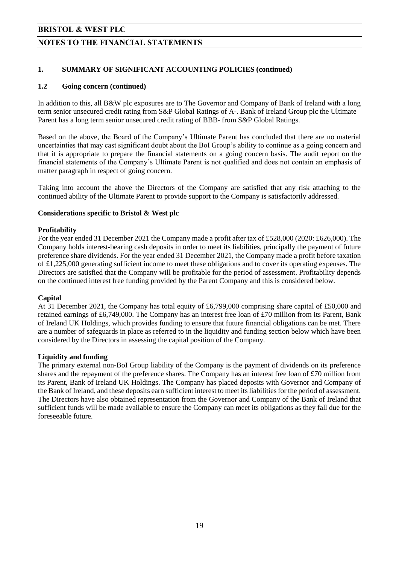#### **NOTES TO THE FINANCIAL STATEMENTS**

#### **1. SUMMARY OF SIGNIFICANT ACCOUNTING POLICIES (continued)**

#### **1.2 Going concern (continued)**

In addition to this, all B&W plc exposures are to The Governor and Company of Bank of Ireland with a long term senior unsecured credit rating from S&P Global Ratings of A-. Bank of Ireland Group plc the Ultimate Parent has a long term senior unsecured credit rating of BBB- from S&P Global Ratings.

Based on the above, the Board of the Company's Ultimate Parent has concluded that there are no material uncertainties that may cast significant doubt about the BoI Group's ability to continue as a going concern and that it is appropriate to prepare the financial statements on a going concern basis. The audit report on the financial statements of the Company's Ultimate Parent is not qualified and does not contain an emphasis of matter paragraph in respect of going concern.

Taking into account the above the Directors of the Company are satisfied that any risk attaching to the continued ability of the Ultimate Parent to provide support to the Company is satisfactorily addressed.

#### **Considerations specific to Bristol & West plc**

#### **Profitability**

For the year ended 31 December 2021 the Company made a profit after tax of £528,000 (2020: £626,000). The Company holds interest-bearing cash deposits in order to meet its liabilities, principally the payment of future preference share dividends. For the year ended 31 December 2021, the Company made a profit before taxation of £1,225,000 generating sufficient income to meet these obligations and to cover its operating expenses. The Directors are satisfied that the Company will be profitable for the period of assessment. Profitability depends on the continued interest free funding provided by the Parent Company and this is considered below.

#### **Capital**

At 31 December 2021, the Company has total equity of £6,799,000 comprising share capital of £50,000 and retained earnings of £6,749,000. The Company has an interest free loan of £70 million from its Parent, Bank of Ireland UK Holdings, which provides funding to ensure that future financial obligations can be met. There are a number of safeguards in place as referred to in the liquidity and funding section below which have been considered by the Directors in assessing the capital position of the Company.

#### **Liquidity and funding**

The primary external non-BoI Group liability of the Company is the payment of dividends on its preference shares and the repayment of the preference shares. The Company has an interest free loan of £70 million from its Parent, Bank of Ireland UK Holdings. The Company has placed deposits with Governor and Company of the Bank of Ireland, and these deposits earn sufficient interest to meet its liabilities for the period of assessment. The Directors have also obtained representation from the Governor and Company of the Bank of Ireland that sufficient funds will be made available to ensure the Company can meet its obligations as they fall due for the foreseeable future.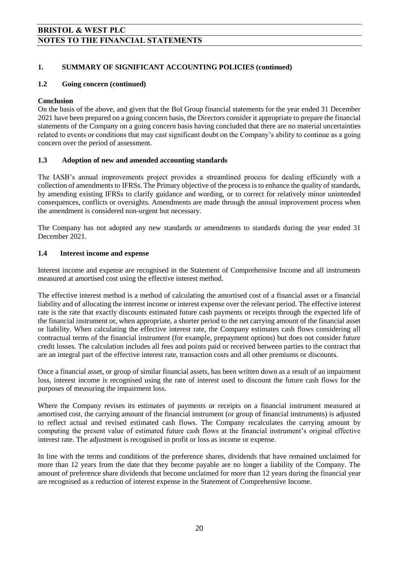#### **1. SUMMARY OF SIGNIFICANT ACCOUNTING POLICIES (continued)**

#### **1.2 Going concern (continued)**

#### **Conclusion**

On the basis of the above, and given that the BoI Group financial statements for the year ended 31 December 2021 have been prepared on a going concern basis, the Directors consider it appropriate to prepare the financial statements of the Company on a going concern basis having concluded that there are no material uncertainties related to events or conditions that may cast significant doubt on the Company's ability to continue as a going concern over the period of assessment.

#### **1.3 Adoption of new and amended accounting standards**

The IASB's annual improvements project provides a streamlined process for dealing efficiently with a collection of amendments to IFRSs. The Primary objective of the process is to enhance the quality of standards, by amending existing IFRSs to clarify guidance and wording, or to correct for relatively minor unintended consequences, conflicts or oversights. Amendments are made through the annual improvement process when the amendment is considered non-urgent but necessary.

The Company has not adopted any new standards or amendments to standards during the year ended 31 December 2021.

#### **1.4 Interest income and expense**

Interest income and expense are recognised in the Statement of Comprehensive Income and all instruments measured at amortised cost using the effective interest method.

The effective interest method is a method of calculating the amortised cost of a financial asset or a financial liability and of allocating the interest income or interest expense over the relevant period. The effective interest rate is the rate that exactly discounts estimated future cash payments or receipts through the expected life of the financial instrument or, when appropriate, a shorter period to the net carrying amount of the financial asset or liability. When calculating the effective interest rate, the Company estimates cash flows considering all contractual terms of the financial instrument (for example, prepayment options) but does not consider future credit losses. The calculation includes all fees and points paid or received between parties to the contract that are an integral part of the effective interest rate, transaction costs and all other premiums or discounts.

Once a financial asset, or group of similar financial assets, has been written down as a result of an impairment loss, interest income is recognised using the rate of interest used to discount the future cash flows for the purposes of measuring the impairment loss.

Where the Company revises its estimates of payments or receipts on a financial instrument measured at amortised cost, the carrying amount of the financial instrument (or group of financial instruments) is adjusted to reflect actual and revised estimated cash flows. The Company recalculates the carrying amount by computing the present value of estimated future cash flows at the financial instrument's original effective interest rate. The adjustment is recognised in profit or loss as income or expense.

In line with the terms and conditions of the preference shares, dividends that have remained unclaimed for more than 12 years from the date that they become payable are no longer a liability of the Company. The amount of preference share dividends that become unclaimed for more than 12 years during the financial year are recognised as a reduction of interest expense in the Statement of Comprehensive Income.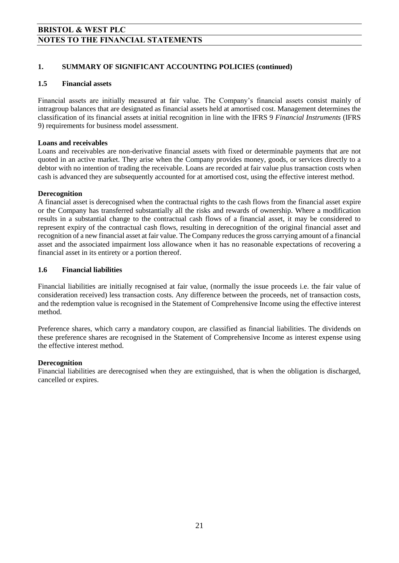#### **1. SUMMARY OF SIGNIFICANT ACCOUNTING POLICIES (continued)**

#### **1.5 Financial assets**

Financial assets are initially measured at fair value. The Company's financial assets consist mainly of intragroup balances that are designated as financial assets held at amortised cost. Management determines the classification of its financial assets at initial recognition in line with the IFRS 9 *Financial Instruments* (IFRS 9) requirements for business model assessment.

#### **Loans and receivables**

Loans and receivables are non-derivative financial assets with fixed or determinable payments that are not quoted in an active market. They arise when the Company provides money, goods, or services directly to a debtor with no intention of trading the receivable. Loans are recorded at fair value plus transaction costs when cash is advanced they are subsequently accounted for at amortised cost, using the effective interest method.

#### **Derecognition**

A financial asset is derecognised when the contractual rights to the cash flows from the financial asset expire or the Company has transferred substantially all the risks and rewards of ownership. Where a modification results in a substantial change to the contractual cash flows of a financial asset, it may be considered to represent expiry of the contractual cash flows, resulting in derecognition of the original financial asset and recognition of a new financial asset at fair value. The Company reduces the gross carrying amount of a financial asset and the associated impairment loss allowance when it has no reasonable expectations of recovering a financial asset in its entirety or a portion thereof.

#### **1.6 Financial liabilities**

Financial liabilities are initially recognised at fair value, (normally the issue proceeds i.e. the fair value of consideration received) less transaction costs. Any difference between the proceeds, net of transaction costs, and the redemption value is recognised in the Statement of Comprehensive Income using the effective interest method.

Preference shares, which carry a mandatory coupon, are classified as financial liabilities. The dividends on these preference shares are recognised in the Statement of Comprehensive Income as interest expense using the effective interest method.

#### **Derecognition**

Financial liabilities are derecognised when they are extinguished, that is when the obligation is discharged, cancelled or expires.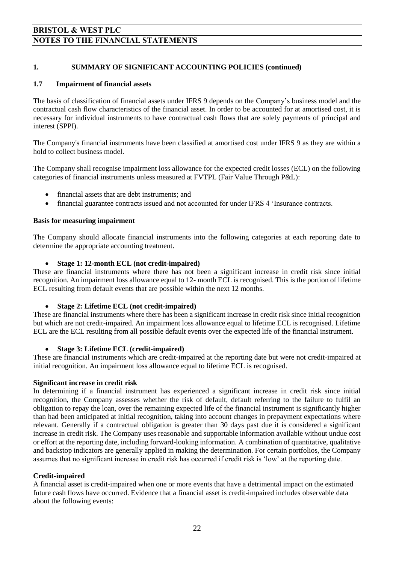#### **1. SUMMARY OF SIGNIFICANT ACCOUNTING POLICIES (continued)**

#### **1.7 Impairment of financial assets**

The basis of classification of financial assets under IFRS 9 depends on the Company's business model and the contractual cash flow characteristics of the financial asset. In order to be accounted for at amortised cost, it is necessary for individual instruments to have contractual cash flows that are solely payments of principal and interest (SPPI).

The Company's financial instruments have been classified at amortised cost under IFRS 9 as they are within a hold to collect business model.

The Company shall recognise impairment loss allowance for the expected credit losses (ECL) on the following categories of financial instruments unless measured at FVTPL (Fair Value Through P&L):

- financial assets that are debt instruments; and
- financial guarantee contracts issued and not accounted for under IFRS 4 'Insurance contracts.

#### **Basis for measuring impairment**

The Company should allocate financial instruments into the following categories at each reporting date to determine the appropriate accounting treatment.

#### **Stage 1: 12-month ECL (not credit-impaired)**

These are financial instruments where there has not been a significant increase in credit risk since initial recognition. An impairment loss allowance equal to 12- month ECL is recognised. This is the portion of lifetime ECL resulting from default events that are possible within the next 12 months.

#### **Stage 2: Lifetime ECL (not credit-impaired)**

These are financial instruments where there has been a significant increase in credit risk since initial recognition but which are not credit-impaired. An impairment loss allowance equal to lifetime ECL is recognised. Lifetime ECL are the ECL resulting from all possible default events over the expected life of the financial instrument.

#### **Stage 3: Lifetime ECL (credit-impaired)**

These are financial instruments which are credit-impaired at the reporting date but were not credit-impaired at initial recognition. An impairment loss allowance equal to lifetime ECL is recognised.

#### **Significant increase in credit risk**

In determining if a financial instrument has experienced a significant increase in credit risk since initial recognition, the Company assesses whether the risk of default, default referring to the failure to fulfil an obligation to repay the loan, over the remaining expected life of the financial instrument is significantly higher than had been anticipated at initial recognition, taking into account changes in prepayment expectations where relevant. Generally if a contractual obligation is greater than 30 days past due it is considered a significant increase in credit risk. The Company uses reasonable and supportable information available without undue cost or effort at the reporting date, including forward-looking information. A combination of quantitative, qualitative and backstop indicators are generally applied in making the determination. For certain portfolios, the Company assumes that no significant increase in credit risk has occurred if credit risk is 'low' at the reporting date.

#### **Credit-impaired**

A financial asset is credit-impaired when one or more events that have a detrimental impact on the estimated future cash flows have occurred. Evidence that a financial asset is credit-impaired includes observable data about the following events: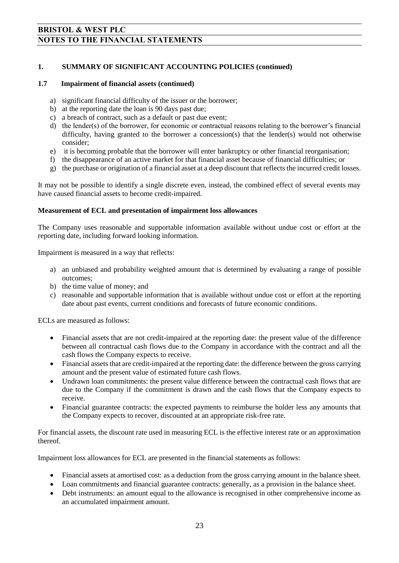#### **1. SUMMARY OF SIGNIFICANT ACCOUNTING POLICIES (continued)**

#### **1.7 Impairment of financial assets (continued)**

- a) significant financial difficulty of the issuer or the borrower;
- b) at the reporting date the loan is 90 days past due;
- c) a breach of contract, such as a default or past due event;
- d) the lender(s) of the borrower, for economic or contractual reasons relating to the borrower's financial difficulty, having granted to the borrower a concession(s) that the lender(s) would not otherwise consider;
- e) it is becoming probable that the borrower will enter bankruptcy or other financial reorganisation;
- f) the disappearance of an active market for that financial asset because of financial difficulties; or
- g) the purchase or origination of a financial asset at a deep discount that reflects the incurred credit losses.

It may not be possible to identify a single discrete even, instead, the combined effect of several events may have caused financial assets to become credit-impaired.

#### **Measurement of ECL and presentation of impairment loss allowances**

The Company uses reasonable and supportable information available without undue cost or effort at the reporting date, including forward looking information.

Impairment is measured in a way that reflects:

- a) an unbiased and probability weighted amount that is determined by evaluating a range of possible outcomes;
- b) the time value of money; and
- c) reasonable and supportable information that is available without undue cost or effort at the reporting date about past events, current conditions and forecasts of future economic conditions.

ECLs are measured as follows:

- Financial assets that are not credit-impaired at the reporting date: the present value of the difference between all contractual cash flows due to the Company in accordance with the contract and all the cash flows the Company expects to receive.
- Financial assets that are credit-impaired at the reporting date: the difference between the gross carrying amount and the present value of estimated future cash flows.
- Undrawn loan commitments: the present value difference between the contractual cash flows that are due to the Company if the commitment is drawn and the cash flows that the Company expects to receive.
- Financial guarantee contracts: the expected payments to reimburse the holder less any amounts that the Company expects to recover, discounted at an appropriate risk-free rate.

For financial assets, the discount rate used in measuring ECL is the effective interest rate or an approximation thereof.

Impairment loss allowances for ECL are presented in the financial statements as follows:

- Financial assets at amortised cost: as a deduction from the gross carrying amount in the balance sheet.
- Loan commitments and financial guarantee contracts: generally, as a provision in the balance sheet.
- Debt instruments: an amount equal to the allowance is recognised in other comprehensive income as an accumulated impairment amount.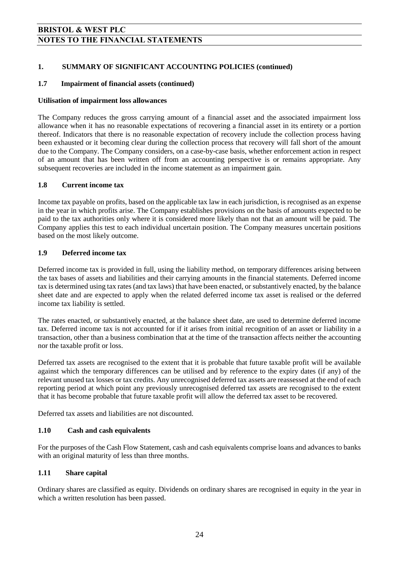#### **1. SUMMARY OF SIGNIFICANT ACCOUNTING POLICIES (continued)**

#### **1.7 Impairment of financial assets (continued)**

#### **Utilisation of impairment loss allowances**

The Company reduces the gross carrying amount of a financial asset and the associated impairment loss allowance when it has no reasonable expectations of recovering a financial asset in its entirety or a portion thereof. Indicators that there is no reasonable expectation of recovery include the collection process having been exhausted or it becoming clear during the collection process that recovery will fall short of the amount due to the Company. The Company considers, on a case-by-case basis, whether enforcement action in respect of an amount that has been written off from an accounting perspective is or remains appropriate. Any subsequent recoveries are included in the income statement as an impairment gain.

#### **1.8 Current income tax**

Income tax payable on profits, based on the applicable tax law in each jurisdiction, is recognised as an expense in the year in which profits arise. The Company establishes provisions on the basis of amounts expected to be paid to the tax authorities only where it is considered more likely than not that an amount will be paid. The Company applies this test to each individual uncertain position. The Company measures uncertain positions based on the most likely outcome.

#### **1.9 Deferred income tax**

Deferred income tax is provided in full, using the liability method, on temporary differences arising between the tax bases of assets and liabilities and their carrying amounts in the financial statements. Deferred income tax is determined using tax rates (and tax laws) that have been enacted, or substantively enacted, by the balance sheet date and are expected to apply when the related deferred income tax asset is realised or the deferred income tax liability is settled.

The rates enacted, or substantively enacted, at the balance sheet date, are used to determine deferred income tax. Deferred income tax is not accounted for if it arises from initial recognition of an asset or liability in a transaction, other than a business combination that at the time of the transaction affects neither the accounting nor the taxable profit or loss.

Deferred tax assets are recognised to the extent that it is probable that future taxable profit will be available against which the temporary differences can be utilised and by reference to the expiry dates (if any) of the relevant unused tax losses or tax credits. Any unrecognised deferred tax assets are reassessed at the end of each reporting period at which point any previously unrecognised deferred tax assets are recognised to the extent that it has become probable that future taxable profit will allow the deferred tax asset to be recovered.

Deferred tax assets and liabilities are not discounted.

#### **1.10 Cash and cash equivalents**

For the purposes of the Cash Flow Statement, cash and cash equivalents comprise loans and advances to banks with an original maturity of less than three months.

#### **1.11 Share capital**

Ordinary shares are classified as equity. Dividends on ordinary shares are recognised in equity in the year in which a written resolution has been passed.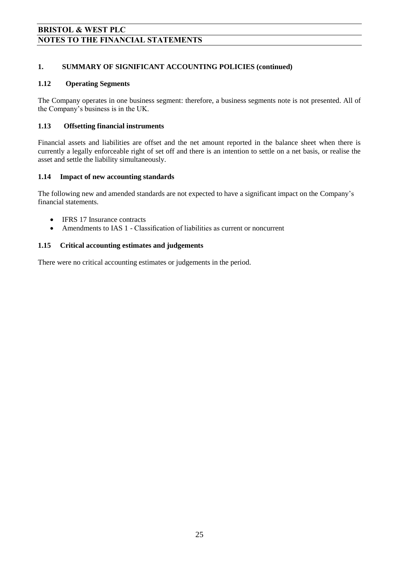#### **1. SUMMARY OF SIGNIFICANT ACCOUNTING POLICIES (continued)**

#### **1.12 Operating Segments**

The Company operates in one business segment: therefore, a business segments note is not presented. All of the Company's business is in the UK.

#### **1.13 Offsetting financial instruments**

Financial assets and liabilities are offset and the net amount reported in the balance sheet when there is currently a legally enforceable right of set off and there is an intention to settle on a net basis, or realise the asset and settle the liability simultaneously.

#### **1.14 Impact of new accounting standards**

The following new and amended standards are not expected to have a significant impact on the Company's financial statements.

- IFRS 17 Insurance contracts
- Amendments to IAS 1 Classification of liabilities as current or noncurrent

#### **1.15 Critical accounting estimates and judgements**

There were no critical accounting estimates or judgements in the period.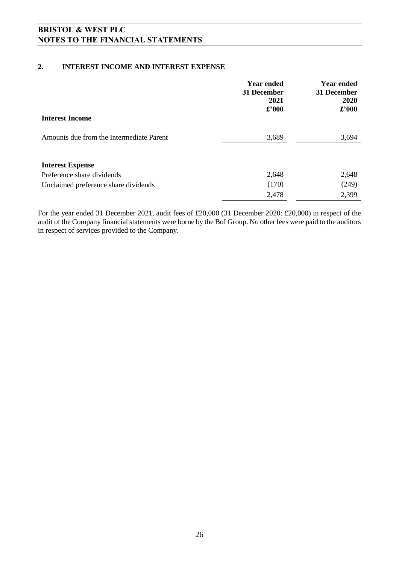#### **2. INTEREST INCOME AND INTEREST EXPENSE**

|                                          | <b>Year ended</b><br>31 December<br>2021<br>$\pounds$ '000 | <b>Year ended</b><br>31 December<br>2020<br>$\pounds$ '000 |
|------------------------------------------|------------------------------------------------------------|------------------------------------------------------------|
| <b>Interest Income</b>                   |                                                            |                                                            |
| Amounts due from the Intermediate Parent | 3,689                                                      | 3,694                                                      |
| <b>Interest Expense</b>                  |                                                            |                                                            |
| Preference share dividends               | 2,648                                                      | 2,648                                                      |
| Unclaimed preference share dividends     | (170)                                                      | (249)                                                      |
|                                          | 2,478                                                      | 2,399                                                      |

For the year ended 31 December 2021, audit fees of £20,000 (31 December 2020: £20,000) in respect of the audit of the Company financial statements were borne by the BoI Group. No other fees were paid to the auditors in respect of services provided to the Company.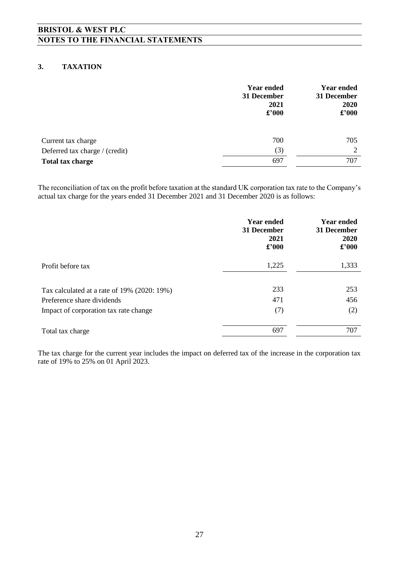#### **3. TAXATION**

|                                                      | <b>Year ended</b><br>31 December<br>2021<br>£'000 | <b>Year ended</b><br>31 December<br>2020<br>£'000 |
|------------------------------------------------------|---------------------------------------------------|---------------------------------------------------|
| Current tax charge<br>Deferred tax charge / (credit) | 700<br>(3)                                        | 705<br>$\mathcal{D}$                              |
| <b>Total tax charge</b>                              | 697                                               | 707                                               |

The reconciliation of tax on the profit before taxation at the standard UK corporation tax rate to the Company's actual tax charge for the years ended 31 December 2021 and 31 December 2020 is as follows:

|                                             | <b>Year ended</b><br>31 December<br>2021<br>$\pounds$ '000 | <b>Year ended</b><br>31 December<br><b>2020</b><br>$\pounds$ '000 |
|---------------------------------------------|------------------------------------------------------------|-------------------------------------------------------------------|
| Profit before tax                           | 1,225                                                      | 1,333                                                             |
| Tax calculated at a rate of 19% (2020: 19%) | 233                                                        | 253                                                               |
| Preference share dividends                  | 471                                                        | 456                                                               |
| Impact of corporation tax rate change       | (7)                                                        | (2)                                                               |
| Total tax charge                            | 697                                                        | 707                                                               |

The tax charge for the current year includes the impact on deferred tax of the increase in the corporation tax rate of 19% to 25% on 01 April 2023.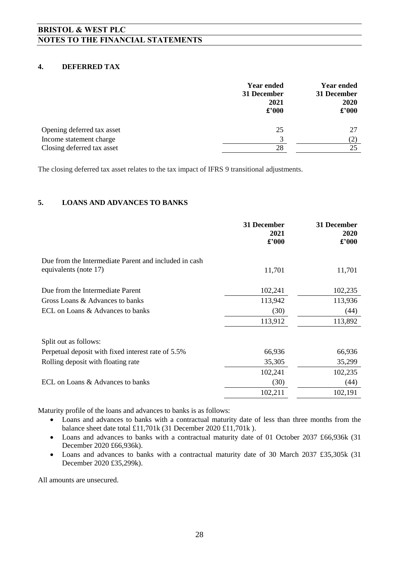#### **4. DEFERRED TAX**

|                            | <b>Year ended</b><br>31 December<br>2021<br>$\pounds$ '000 | <b>Year ended</b><br>31 December<br>2020<br>$\pounds$ '000 |
|----------------------------|------------------------------------------------------------|------------------------------------------------------------|
| Opening deferred tax asset | 25                                                         | 27                                                         |
| Income statement charge    | 3                                                          | (2)                                                        |
| Closing deferred tax asset | 28                                                         | 25                                                         |

The closing deferred tax asset relates to the tax impact of IFRS 9 transitional adjustments.

#### **5. LOANS AND ADVANCES TO BANKS**

|                                                                                | 31 December<br>2021<br>$\pounds$ '000 | 31 December<br>2020<br>$\pounds$ '000 |
|--------------------------------------------------------------------------------|---------------------------------------|---------------------------------------|
| Due from the Intermediate Parent and included in cash<br>equivalents (note 17) | 11,701                                | 11,701                                |
| Due from the Intermediate Parent                                               | 102,241                               | 102,235                               |
| Gross Loans & Advances to banks                                                | 113,942                               | 113,936                               |
| ECL on Loans & Advances to banks                                               | (30)                                  | (44)                                  |
|                                                                                | 113,912                               | 113,892                               |
| Split out as follows:                                                          |                                       |                                       |
| Perpetual deposit with fixed interest rate of 5.5%                             | 66,936                                | 66,936                                |
| Rolling deposit with floating rate                                             | 35,305                                | 35,299                                |
|                                                                                | 102,241                               | 102,235                               |
| ECL on Loans & Advances to banks                                               | (30)                                  | (44)                                  |
|                                                                                | 102,211                               | 102,191                               |

Maturity profile of the loans and advances to banks is as follows:

- Loans and advances to banks with a contractual maturity date of less than three months from the balance sheet date total £11,701k (31 December 2020 £11,701k ).
- Loans and advances to banks with a contractual maturity date of 01 October 2037 £66,936k (31) December 2020 £66,936k).
- Loans and advances to banks with a contractual maturity date of 30 March 2037 £35,305k (31 December 2020 £35,299k).

All amounts are unsecured.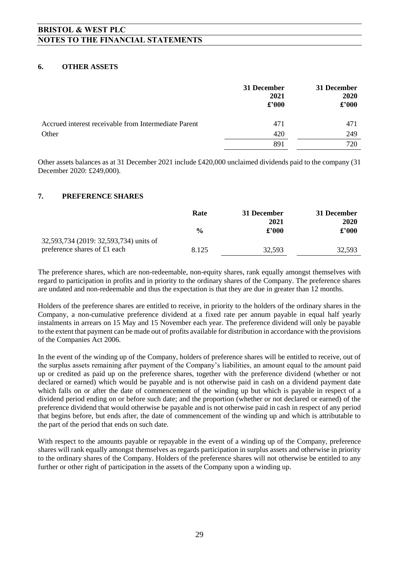#### **6. OTHER ASSETS**

|                                                      | 31 December<br>2021<br>$\pounds$ '000 | 31 December<br>2020<br>$\pounds$ '000 |
|------------------------------------------------------|---------------------------------------|---------------------------------------|
| Accrued interest receivable from Intermediate Parent | 471                                   | 471                                   |
| Other                                                | 420                                   | 249                                   |
|                                                      | 891                                   | 720                                   |

Other assets balances as at 31 December 2021 include £420,000 unclaimed dividends paid to the company (31 December 2020: £249,000).

#### **7. PREFERENCE SHARES**

|                                        | Rate          | 31 December | 31 December   |  |
|----------------------------------------|---------------|-------------|---------------|--|
|                                        |               | 2021        | 2020          |  |
|                                        | $\frac{0}{0}$ | £2000       | $\pounds 000$ |  |
| 32,593,734 (2019: 32,593,734) units of |               |             |               |  |
| preference shares of £1 each           | 8.125         | 32.593      | 32.593        |  |

The preference shares, which are non-redeemable, non-equity shares, rank equally amongst themselves with regard to participation in profits and in priority to the ordinary shares of the Company. The preference shares are undated and non-redeemable and thus the expectation is that they are due in greater than 12 months.

Holders of the preference shares are entitled to receive, in priority to the holders of the ordinary shares in the Company, a non-cumulative preference dividend at a fixed rate per annum payable in equal half yearly instalments in arrears on 15 May and 15 November each year. The preference dividend will only be payable to the extent that payment can be made out of profits available for distribution in accordance with the provisions of the Companies Act 2006.

In the event of the winding up of the Company, holders of preference shares will be entitled to receive, out of the surplus assets remaining after payment of the Company's liabilities, an amount equal to the amount paid up or credited as paid up on the preference shares, together with the preference dividend (whether or not declared or earned) which would be payable and is not otherwise paid in cash on a dividend payment date which falls on or after the date of commencement of the winding up but which is payable in respect of a dividend period ending on or before such date; and the proportion (whether or not declared or earned) of the preference dividend that would otherwise be payable and is not otherwise paid in cash in respect of any period that begins before, but ends after, the date of commencement of the winding up and which is attributable to the part of the period that ends on such date.

With respect to the amounts payable or repayable in the event of a winding up of the Company, preference shares will rank equally amongst themselves as regards participation in surplus assets and otherwise in priority to the ordinary shares of the Company. Holders of the preference shares will not otherwise be entitled to any further or other right of participation in the assets of the Company upon a winding up.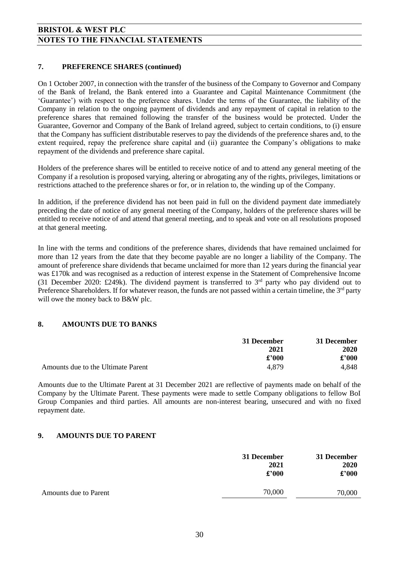#### **7. PREFERENCE SHARES (continued)**

On 1 October 2007, in connection with the transfer of the business of the Company to Governor and Company of the Bank of Ireland, the Bank entered into a Guarantee and Capital Maintenance Commitment (the 'Guarantee') with respect to the preference shares. Under the terms of the Guarantee, the liability of the Company in relation to the ongoing payment of dividends and any repayment of capital in relation to the preference shares that remained following the transfer of the business would be protected. Under the Guarantee, Governor and Company of the Bank of Ireland agreed, subject to certain conditions, to (i) ensure that the Company has sufficient distributable reserves to pay the dividends of the preference shares and, to the extent required, repay the preference share capital and (ii) guarantee the Company's obligations to make repayment of the dividends and preference share capital.

Holders of the preference shares will be entitled to receive notice of and to attend any general meeting of the Company if a resolution is proposed varying, altering or abrogating any of the rights, privileges, limitations or restrictions attached to the preference shares or for, or in relation to, the winding up of the Company.

In addition, if the preference dividend has not been paid in full on the dividend payment date immediately preceding the date of notice of any general meeting of the Company, holders of the preference shares will be entitled to receive notice of and attend that general meeting, and to speak and vote on all resolutions proposed at that general meeting.

In line with the terms and conditions of the preference shares, dividends that have remained unclaimed for more than 12 years from the date that they become payable are no longer a liability of the Company. The amount of preference share dividends that became unclaimed for more than 12 years during the financial year was £170k and was recognised as a reduction of interest expense in the Statement of Comprehensive Income (31 December 2020: £249k). The dividend payment is transferred to 3rd party who pay dividend out to Preference Shareholders. If for whatever reason, the funds are not passed within a certain timeline, the  $3<sup>rd</sup>$  party will owe the money back to B&W plc.

#### **8. AMOUNTS DUE TO BANKS**

|                                    | 31 December | 31 December |
|------------------------------------|-------------|-------------|
|                                    | 2021        | <b>2020</b> |
|                                    | £2000       | £2000       |
| Amounts due to the Ultimate Parent | 4,879       | 4,848       |

Amounts due to the Ultimate Parent at 31 December 2021 are reflective of payments made on behalf of the Company by the Ultimate Parent. These payments were made to settle Company obligations to fellow BoI Group Companies and third parties. All amounts are non-interest bearing, unsecured and with no fixed repayment date.

#### **9. AMOUNTS DUE TO PARENT**

|                       | 31 December<br>2021<br>$\pounds$ '000 | 31 December<br>2020<br>$\pounds$ '000 |
|-----------------------|---------------------------------------|---------------------------------------|
| Amounts due to Parent | 70,000                                | 70,000                                |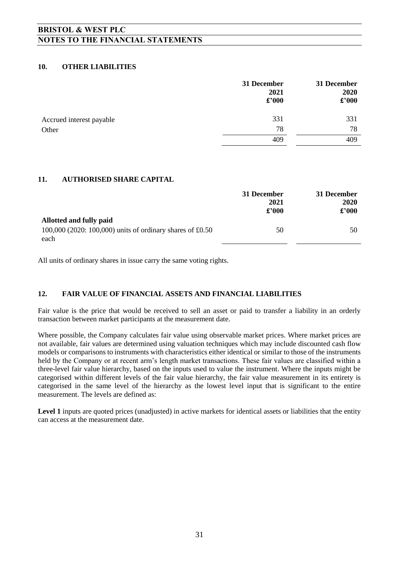#### **10. OTHER LIABILITIES**

|                          | 31 December<br>2021<br>$\pounds$ '000 | 31 December<br>2020<br>$\pounds$ '000 |
|--------------------------|---------------------------------------|---------------------------------------|
| Accrued interest payable | 331                                   | 331                                   |
| Other                    | 78                                    | 78                                    |
|                          | 409                                   | 409                                   |

#### **11. AUTHORISED SHARE CAPITAL**

|                                                                   | 31 December<br>2021<br>£2000 | 31 December<br>2020<br>£'000 |
|-------------------------------------------------------------------|------------------------------|------------------------------|
| Allotted and fully paid                                           |                              |                              |
| 100,000 (2020: 100,000) units of ordinary shares of £0.50<br>each | 50                           | 50                           |

All units of ordinary shares in issue carry the same voting rights.

#### **12. FAIR VALUE OF FINANCIAL ASSETS AND FINANCIAL LIABILITIES**

Fair value is the price that would be received to sell an asset or paid to transfer a liability in an orderly transaction between market participants at the measurement date.

Where possible, the Company calculates fair value using observable market prices. Where market prices are not available, fair values are determined using valuation techniques which may include discounted cash flow models or comparisons to instruments with characteristics either identical or similar to those of the instruments held by the Company or at recent arm's length market transactions. These fair values are classified within a three-level fair value hierarchy, based on the inputs used to value the instrument. Where the inputs might be categorised within different levels of the fair value hierarchy, the fair value measurement in its entirety is categorised in the same level of the hierarchy as the lowest level input that is significant to the entire measurement. The levels are defined as:

Level 1 inputs are quoted prices (unadjusted) in active markets for identical assets or liabilities that the entity can access at the measurement date.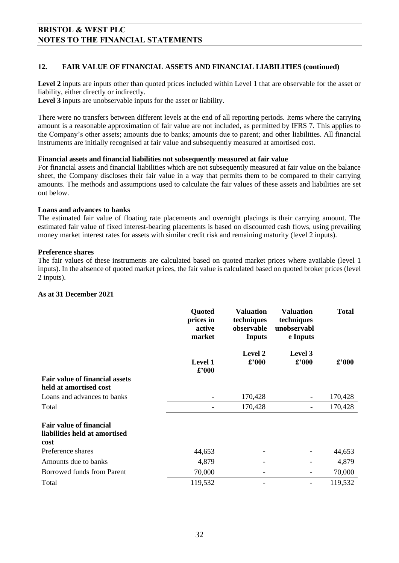#### **12. FAIR VALUE OF FINANCIAL ASSETS AND FINANCIAL LIABILITIES (continued)**

Level 2 inputs are inputs other than quoted prices included within Level 1 that are observable for the asset or liability, either directly or indirectly.

**Level 3** inputs are unobservable inputs for the asset or liability.

There were no transfers between different levels at the end of all reporting periods. Items where the carrying amount is a reasonable approximation of fair value are not included, as permitted by IFRS 7. This applies to the Company's other assets; amounts due to banks; amounts due to parent; and other liabilities. All financial instruments are initially recognised at fair value and subsequently measured at amortised cost.

#### **Financial assets and financial liabilities not subsequently measured at fair value**

For financial assets and financial liabilities which are not subsequently measured at fair value on the balance sheet, the Company discloses their fair value in a way that permits them to be compared to their carrying amounts. The methods and assumptions used to calculate the fair values of these assets and liabilities are set out below.

#### **Loans and advances to banks**

The estimated fair value of floating rate placements and overnight placings is their carrying amount. The estimated fair value of fixed interest-bearing placements is based on discounted cash flows, using prevailing money market interest rates for assets with similar credit risk and remaining maturity (level 2 inputs).

#### **Preference shares**

The fair values of these instruments are calculated based on quoted market prices where available (level 1 inputs). In the absence of quoted market prices, the fair value is calculated based on quoted broker prices (level 2 inputs).

#### **As at 31 December 2021**

|                                                                         | <b>Quoted</b><br>prices in<br>active<br>market | <b>Valuation</b><br>techniques<br>observable<br><b>Inputs</b> | <b>Valuation</b><br>techniques<br>unobservabl<br>e Inputs | <b>Total</b> |
|-------------------------------------------------------------------------|------------------------------------------------|---------------------------------------------------------------|-----------------------------------------------------------|--------------|
|                                                                         | <b>Level 1</b><br>$\pounds$ '000               | Level 2<br>£'000                                              | Level 3<br>£'000                                          | £'000        |
| <b>Fair value of financial assets</b><br>held at amortised cost         |                                                |                                                               |                                                           |              |
| Loans and advances to banks                                             |                                                | 170,428                                                       |                                                           | 170,428      |
| Total                                                                   |                                                | 170,428                                                       | -                                                         | 170,428      |
| <b>Fair value of financial</b><br>liabilities held at amortised<br>cost |                                                |                                                               |                                                           |              |
| Preference shares                                                       | 44,653                                         |                                                               |                                                           | 44,653       |
| Amounts due to banks                                                    | 4,879                                          |                                                               |                                                           | 4,879        |
| Borrowed funds from Parent                                              | 70,000                                         |                                                               |                                                           | 70,000       |
| Total                                                                   | 119,532                                        |                                                               |                                                           | 119,532      |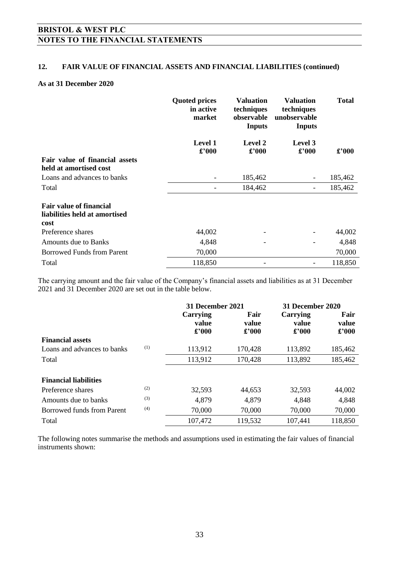#### **12. FAIR VALUE OF FINANCIAL ASSETS AND FINANCIAL LIABILITIES (continued)**

#### **As at 31 December 2020**

|                                                                         | <b>Quoted prices</b><br>in active<br>market | <b>Valuation</b><br>techniques<br>observable<br><b>Inputs</b> | <b>Valuation</b><br>techniques<br>unobservable<br><b>Inputs</b> | <b>Total</b>   |
|-------------------------------------------------------------------------|---------------------------------------------|---------------------------------------------------------------|-----------------------------------------------------------------|----------------|
|                                                                         | Level 1<br>£'000                            | <b>Level 2</b><br>$\pounds$ '000                              | Level 3<br>$\pounds$ '000                                       | $\pounds$ '000 |
| Fair value of financial assets<br>held at amortised cost                |                                             |                                                               |                                                                 |                |
| Loans and advances to banks                                             |                                             | 185,462                                                       | $\overline{\phantom{a}}$                                        | 185,462        |
| Total                                                                   |                                             | 184,462                                                       | $\overline{\phantom{a}}$                                        | 185,462        |
| <b>Fair value of financial</b><br>liabilities held at amortised<br>cost |                                             |                                                               |                                                                 |                |
| Preference shares                                                       | 44,002                                      |                                                               |                                                                 | 44,002         |
| Amounts due to Banks                                                    | 4,848                                       |                                                               |                                                                 | 4,848          |
| <b>Borrowed Funds from Parent</b>                                       | 70,000                                      |                                                               |                                                                 | 70,000         |
| Total                                                                   | 118,850                                     |                                                               |                                                                 | 118,850        |

The carrying amount and the fair value of the Company's financial assets and liabilities as at 31 December 2021 and 31 December 2020 are set out in the table below.

|                              |     | 31 December 2021                    |                                 | 31 December 2020                   |                                 |
|------------------------------|-----|-------------------------------------|---------------------------------|------------------------------------|---------------------------------|
|                              |     | Carrying<br>value<br>$\pounds$ '000 | Fair<br>value<br>$\pounds$ '000 | Carrying<br>value<br>$\pounds 000$ | Fair<br>value<br>$\pounds$ '000 |
| <b>Financial assets</b>      |     |                                     |                                 |                                    |                                 |
| Loans and advances to banks  | (1) | 113,912                             | 170,428                         | 113,892                            | 185,462                         |
| Total                        |     | 113,912                             | 170,428                         | 113,892                            | 185,462                         |
| <b>Financial liabilities</b> |     |                                     |                                 |                                    |                                 |
| Preference shares            | (2) | 32,593                              | 44,653                          | 32,593                             | 44,002                          |
| Amounts due to banks         | (3) | 4,879                               | 4,879                           | 4,848                              | 4,848                           |
| Borrowed funds from Parent   | (4) | 70,000                              | 70,000                          | 70,000                             | 70,000                          |
| Total                        |     | 107,472                             | 119,532                         | 107,441                            | 118,850                         |

The following notes summarise the methods and assumptions used in estimating the fair values of financial instruments shown: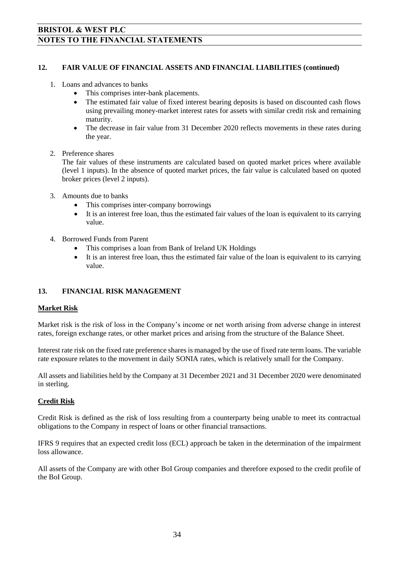#### **12. FAIR VALUE OF FINANCIAL ASSETS AND FINANCIAL LIABILITIES (continued)**

- 1. Loans and advances to banks
	- This comprises inter-bank placements.
	- The estimated fair value of fixed interest bearing deposits is based on discounted cash flows using prevailing money-market interest rates for assets with similar credit risk and remaining maturity.
	- The decrease in fair value from 31 December 2020 reflects movements in these rates during the year.

#### 2. Preference shares

The fair values of these instruments are calculated based on quoted market prices where available (level 1 inputs). In the absence of quoted market prices, the fair value is calculated based on quoted broker prices (level 2 inputs).

- 3. Amounts due to banks
	- This comprises inter-company borrowings
	- It is an interest free loan, thus the estimated fair values of the loan is equivalent to its carrying value.
- 4. Borrowed Funds from Parent
	- This comprises a loan from Bank of Ireland UK Holdings
	- It is an interest free loan, thus the estimated fair value of the loan is equivalent to its carrying value.

#### **13. FINANCIAL RISK MANAGEMENT**

#### **Market Risk**

Market risk is the risk of loss in the Company's income or net worth arising from adverse change in interest rates, foreign exchange rates, or other market prices and arising from the structure of the Balance Sheet.

Interest rate risk on the fixed rate preference shares is managed by the use of fixed rate term loans. The variable rate exposure relates to the movement in daily SONIA rates, which is relatively small for the Company.

All assets and liabilities held by the Company at 31 December 2021 and 31 December 2020 were denominated in sterling.

#### **Credit Risk**

Credit Risk is defined as the risk of loss resulting from a counterparty being unable to meet its contractual obligations to the Company in respect of loans or other financial transactions.

IFRS 9 requires that an expected credit loss (ECL) approach be taken in the determination of the impairment loss allowance.

All assets of the Company are with other BoI Group companies and therefore exposed to the credit profile of the BoI Group.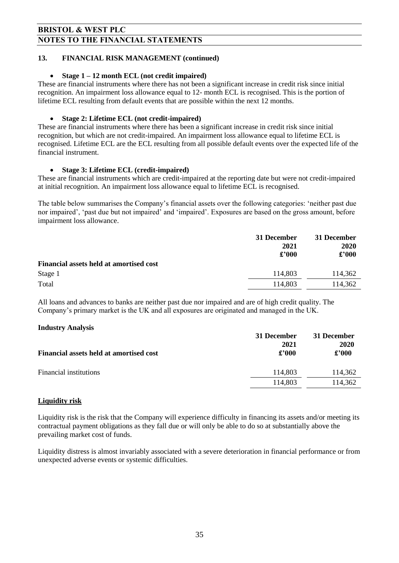#### **13. FINANCIAL RISK MANAGEMENT (continued)**

#### **Stage 1 – 12 month ECL (not credit impaired)**

These are financial instruments where there has not been a significant increase in credit risk since initial recognition. An impairment loss allowance equal to 12- month ECL is recognised. This is the portion of lifetime ECL resulting from default events that are possible within the next 12 months.

#### **Stage 2: Lifetime ECL (not credit-impaired)**

These are financial instruments where there has been a significant increase in credit risk since initial recognition, but which are not credit-impaired. An impairment loss allowance equal to lifetime ECL is recognised. Lifetime ECL are the ECL resulting from all possible default events over the expected life of the financial instrument.

#### **Stage 3: Lifetime ECL (credit-impaired)**

These are financial instruments which are credit-impaired at the reporting date but were not credit-impaired at initial recognition. An impairment loss allowance equal to lifetime ECL is recognised.

The table below summarises the Company's financial assets over the following categories: 'neither past due nor impaired', 'past due but not impaired' and 'impaired'. Exposures are based on the gross amount, before impairment loss allowance.

|                                                | 31 December   | 31 December                       |
|------------------------------------------------|---------------|-----------------------------------|
|                                                | 2021          | 2020                              |
|                                                | $\pounds 000$ | $\pmb{\pounds}^{\pmb{\cdot}} 000$ |
| <b>Financial assets held at amortised cost</b> |               |                                   |
| Stage 1                                        | 114,803       | 114,362                           |
| Total                                          | 114,803       | 114,362                           |

All loans and advances to banks are neither past due nor impaired and are of high credit quality. The Company's primary market is the UK and all exposures are originated and managed in the UK.

#### **Industry Analysis**

|                                         | 31 December<br>2021 | 31 December<br>2020 |
|-----------------------------------------|---------------------|---------------------|
| Financial assets held at amortised cost | $\pounds$ '000      | $\pounds$ '000      |
| Financial institutions                  | 114.803             | 114,362             |
|                                         | 114,803             | 114,362             |

#### **Liquidity risk**

Liquidity risk is the risk that the Company will experience difficulty in financing its assets and/or meeting its contractual payment obligations as they fall due or will only be able to do so at substantially above the prevailing market cost of funds.

Liquidity distress is almost invariably associated with a severe deterioration in financial performance or from unexpected adverse events or systemic difficulties.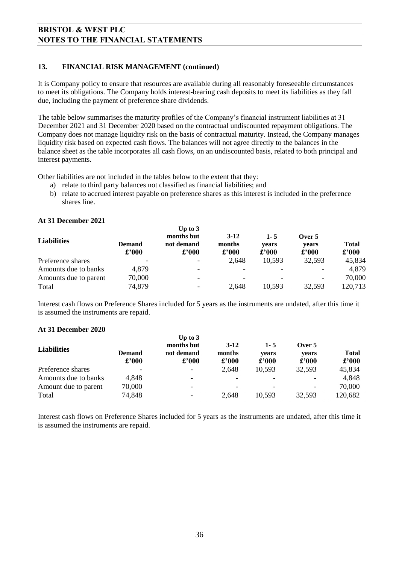#### **13. FINANCIAL RISK MANAGEMENT (continued)**

It is Company policy to ensure that resources are available during all reasonably foreseeable circumstances to meet its obligations. The Company holds interest-bearing cash deposits to meet its liabilities as they fall due, including the payment of preference share dividends.

The table below summarises the maturity profiles of the Company's financial instrument liabilities at 31 December 2021 and 31 December 2020 based on the contractual undiscounted repayment obligations. The Company does not manage liquidity risk on the basis of contractual maturity. Instead, the Company manages liquidity risk based on expected cash flows. The balances will not agree directly to the balances in the balance sheet as the table incorporates all cash flows, on an undiscounted basis, related to both principal and interest payments.

Other liabilities are not included in the tables below to the extent that they:

- a) relate to third party balances not classified as financial liabilities; and
- b) relate to accrued interest payable on preference shares as this interest is included in the preference shares line.

| <b>Liabilities</b>    | <b>Demand</b><br>£'000 | Up to $3$<br>months but<br>not demand<br>$\pounds$ '000 | $3-12$<br>months<br>$\pounds$ '000 | $1 - 5$<br>vears<br>$\pounds$ '000 | Over 5<br>vears<br>$\pounds 000$ | <b>Total</b><br>£'000 |
|-----------------------|------------------------|---------------------------------------------------------|------------------------------------|------------------------------------|----------------------------------|-----------------------|
| Preference shares     |                        |                                                         | 2,648                              | 10,593                             | 32,593                           | 45,834                |
| Amounts due to banks  | 4,879                  |                                                         |                                    |                                    |                                  | 4,879                 |
| Amounts due to parent | 70,000                 |                                                         |                                    |                                    |                                  | 70,000                |
| Total                 | 74,879                 |                                                         | 2,648                              | 10,593                             | 32,593                           | 120,713               |

#### **At 31 December 2021**

Interest cash flows on Preference Shares included for 5 years as the instruments are undated, after this time it is assumed the instruments are repaid.

#### **At 31 December 2020**

| <b>Liabilities</b>   | <b>Demand</b><br>£'000 | Up to $3$<br>months but<br>not demand<br>$\pounds$ '000 | $3-12$<br>months<br>£'000 | $1 - 5$<br>vears<br>$\pounds 000$ | Over 5<br>vears<br>$\pounds 000$ | <b>Total</b><br>£'000 |
|----------------------|------------------------|---------------------------------------------------------|---------------------------|-----------------------------------|----------------------------------|-----------------------|
| Preference shares    |                        |                                                         | 2,648                     | 10,593                            | 32,593                           | 45,834                |
| Amounts due to banks | 4,848                  | -                                                       |                           |                                   | ٠                                | 4,848                 |
| Amount due to parent | 70,000                 |                                                         |                           |                                   |                                  | 70,000                |
| Total                | 74,848                 |                                                         | 2,648                     | 10,593                            | 32,593                           | 120,682               |

Interest cash flows on Preference Shares included for 5 years as the instruments are undated, after this time it is assumed the instruments are repaid.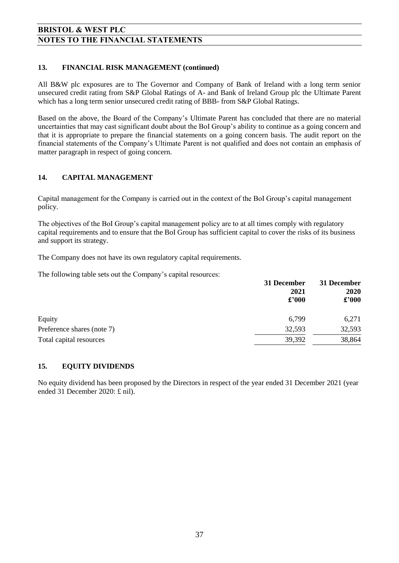#### **13. FINANCIAL RISK MANAGEMENT (continued)**

All B&W plc exposures are to The Governor and Company of Bank of Ireland with a long term senior unsecured credit rating from S&P Global Ratings of A- and Bank of Ireland Group plc the Ultimate Parent which has a long term senior unsecured credit rating of BBB- from S&P Global Ratings.

Based on the above, the Board of the Company's Ultimate Parent has concluded that there are no material uncertainties that may cast significant doubt about the BoI Group's ability to continue as a going concern and that it is appropriate to prepare the financial statements on a going concern basis. The audit report on the financial statements of the Company's Ultimate Parent is not qualified and does not contain an emphasis of matter paragraph in respect of going concern.

#### **14. CAPITAL MANAGEMENT**

Capital management for the Company is carried out in the context of the BoI Group's capital management policy.

The objectives of the BoI Group's capital management policy are to at all times comply with regulatory capital requirements and to ensure that the BoI Group has sufficient capital to cover the risks of its business and support its strategy.

The Company does not have its own regulatory capital requirements.

The following table sets out the Company's capital resources:

|                            | 31 December<br>2021<br>$\pounds$ '000 | 31 December<br>2020<br>$\pounds$ '000 |
|----------------------------|---------------------------------------|---------------------------------------|
| Equity                     | 6,799                                 | 6,271                                 |
| Preference shares (note 7) | 32,593                                | 32,593                                |
| Total capital resources    | 39,392                                | 38,864                                |

#### **15. EQUITY DIVIDENDS**

No equity dividend has been proposed by the Directors in respect of the year ended 31 December 2021 (year ended 31 December 2020: £ nil).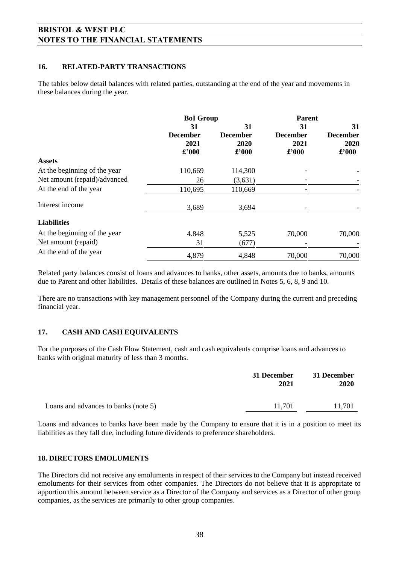#### **16. RELATED-PARTY TRANSACTIONS**

The tables below detail balances with related parties, outstanding at the end of the year and movements in these balances during the year.

|                                               | <b>BoI</b> Group                          |                                  | Parent                           |                                           |
|-----------------------------------------------|-------------------------------------------|----------------------------------|----------------------------------|-------------------------------------------|
|                                               | 31                                        | 31                               | 31                               | 31                                        |
|                                               | <b>December</b><br>2021<br>$\pounds$ '000 | <b>December</b><br>2020<br>£'000 | <b>December</b><br>2021<br>£'000 | <b>December</b><br>2020<br>$\pounds$ '000 |
| <b>Assets</b>                                 |                                           |                                  |                                  |                                           |
| At the beginning of the year                  | 110,669                                   | 114,300                          |                                  |                                           |
| Net amount (repaid)/advanced                  | 26                                        | (3,631)                          |                                  |                                           |
| At the end of the year                        | 110,695                                   | 110,669                          |                                  |                                           |
| Interest income                               | 3,689                                     | 3,694                            |                                  |                                           |
| <b>Liabilities</b>                            |                                           |                                  |                                  |                                           |
| At the beginning of the year                  | 4.848                                     | 5,525                            | 70,000                           | 70,000                                    |
| Net amount (repaid)<br>At the end of the year | 31                                        | (677)                            |                                  |                                           |
|                                               | 4,879                                     | 4,848                            | 70,000                           | 70,000                                    |

Related party balances consist of loans and advances to banks, other assets, amounts due to banks, amounts due to Parent and other liabilities. Details of these balances are outlined in Notes 5, 6, 8, 9 and 10.

There are no transactions with key management personnel of the Company during the current and preceding financial year.

#### **17. CASH AND CASH EQUIVALENTS**

For the purposes of the Cash Flow Statement, cash and cash equivalents comprise loans and advances to banks with original maturity of less than 3 months.

|                                      | 31 December<br>2021 | 31 December<br><b>2020</b> |  |
|--------------------------------------|---------------------|----------------------------|--|
| Loans and advances to banks (note 5) | 11.701              | 11,701                     |  |

Loans and advances to banks have been made by the Company to ensure that it is in a position to meet its liabilities as they fall due, including future dividends to preference shareholders.

#### **18. DIRECTORS EMOLUMENTS**

The Directors did not receive any emoluments in respect of their services to the Company but instead received emoluments for their services from other companies. The Directors do not believe that it is appropriate to apportion this amount between service as a Director of the Company and services as a Director of other group companies, as the services are primarily to other group companies.